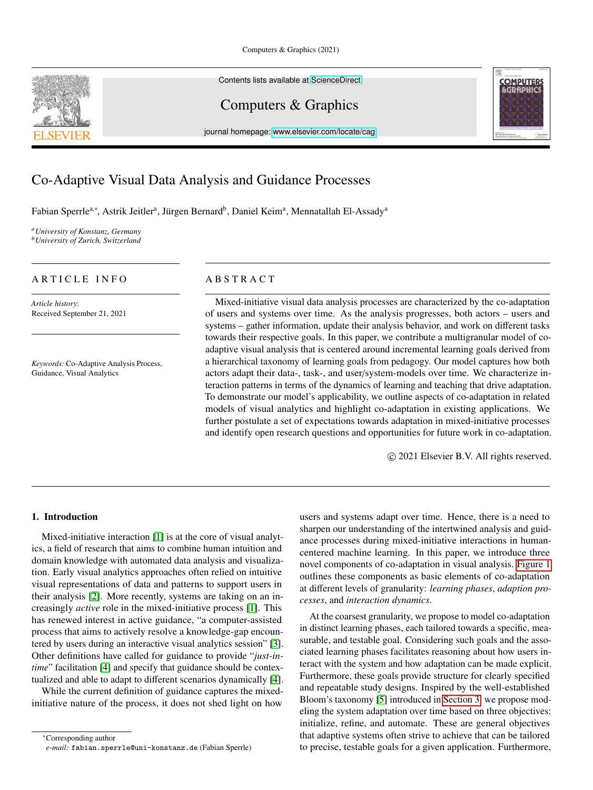Contents lists available at [ScienceDirect](http://www.sciencedirect.com)

Computers & Graphics

journal homepage: [www.elsevier.com/locate/cag](http://www.elsevier.com/locate/cag)



# Co-Adaptive Visual Data Analysis and Guidance Processes

Fabian Sperrle<sup>a,∗</sup>, Astrik Jeitler<sup>a</sup>, Jürgen Bernard<sup>b</sup>, Daniel Keim<sup>a</sup>, Mennatallah El-Assady<sup>a</sup>

*<sup>a</sup>University of Konstanz, Germany <sup>b</sup>University of Zurich, Switzerland*

# ARTICLE INFO

*Article history*: Received September 21, 2021

*Keywords:* Co-Adaptive Analysis Process, Guidance, Visual Analytics

# A B S T R A C T

Mixed-initiative visual data analysis processes are characterized by the co-adaptation of users and systems over time. As the analysis progresses, both actors – users and systems – gather information, update their analysis behavior, and work on different tasks towards their respective goals. In this paper, we contribute a multigranular model of coadaptive visual analysis that is centered around incremental learning goals derived from a hierarchical taxonomy of learning goals from pedagogy. Our model captures how both actors adapt their data-, task-, and user/system-models over time. We characterize interaction patterns in terms of the dynamics of learning and teaching that drive adaptation. To demonstrate our model's applicability, we outline aspects of co-adaptation in related models of visual analytics and highlight co-adaptation in existing applications. We further postulate a set of expectations towards adaptation in mixed-initiative processes and identify open research questions and opportunities for future work in co-adaptation.

c 2021 Elsevier B.V. All rights reserved.

# 1. Introduction

Mixed-initiative interaction [\[1\]](#page-12-0) is at the core of visual analytics, a field of research that aims to combine human intuition and domain knowledge with automated data analysis and visualization. Early visual analytics approaches often relied on intuitive visual representations of data and patterns to support users in their analysis [\[2\]](#page-12-1). More recently, systems are taking on an increasingly *active* role in the mixed-initiative process [\[1\]](#page-12-0). This has renewed interest in active guidance, "a computer-assisted process that aims to actively resolve a knowledge-gap encountered by users during an interactive visual analytics session" [\[3\]](#page-12-2). Other definitions have called for guidance to provide "*just-intime*" facilitation [\[4\]](#page-12-3) and specify that guidance should be contextualized and able to adapt to different scenarios dynamically [\[4\]](#page-12-3).

While the current definition of guidance captures the mixedinitiative nature of the process, it does not shed light on how

<sup>∗</sup>Corresponding author

users and systems adapt over time. Hence, there is a need to sharpen our understanding of the intertwined analysis and guidance processes during mixed-initiative interactions in humancentered machine learning. In this paper, we introduce three novel components of co-adaptation in visual analysis. [Figure 1](#page-1-0) outlines these components as basic elements of co-adaptation at different levels of granularity: *learning phases*, *adaption processes*, and *interaction dynamics*.

At the coarsest granularity, we propose to model co-adaptation in distinct learning phases, each tailored towards a specific, measurable, and testable goal. Considering such goals and the associated learning phases facilitates reasoning about how users interact with the system and how adaptation can be made explicit. Furthermore, these goals provide structure for clearly specified and repeatable study designs. Inspired by the well-established Bloom's taxonomy [\[5\]](#page-12-4) introduced in [Section 3,](#page-2-0) we propose modeling the system adaptation over time based on three objectives: initialize, refine, and automate. These are general objectives that adaptive systems often strive to achieve that can be tailored to precise, testable goals for a given application. Furthermore,



*e-mail:* fabian.sperrle@uni-konstanz.de (Fabian Sperrle)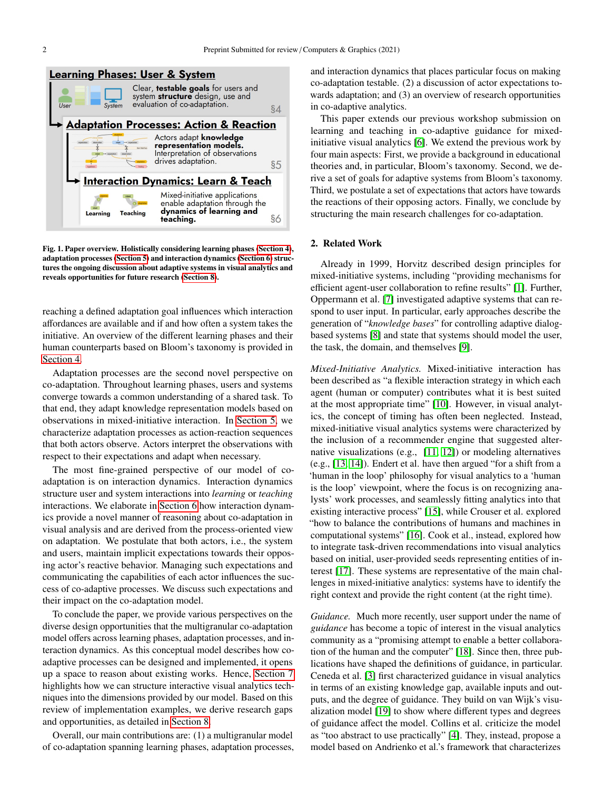

<span id="page-1-0"></span>Fig. 1. Paper overview. Holistically considering learning phases [\(Section 4\)](#page-3-0), adaptation processes [\(Section 5\)](#page-6-0) and interaction dynamics [\(Section 6\)](#page-7-0) structures the ongoing discussion about adaptive systems in visual analytics and reveals opportunities for future research [\(Section 8\)](#page-11-0).

reaching a defined adaptation goal influences which interaction affordances are available and if and how often a system takes the initiative. An overview of the different learning phases and their human counterparts based on Bloom's taxonomy is provided in [Section 4.](#page-3-0)

Adaptation processes are the second novel perspective on co-adaptation. Throughout learning phases, users and systems converge towards a common understanding of a shared task. To that end, they adapt knowledge representation models based on observations in mixed-initiative interaction. In [Section 5,](#page-6-0) we characterize adaptation processes as action-reaction sequences that both actors observe. Actors interpret the observations with respect to their expectations and adapt when necessary.

The most fine-grained perspective of our model of coadaptation is on interaction dynamics. Interaction dynamics structure user and system interactions into *learning* or *teaching* interactions. We elaborate in [Section 6](#page-7-0) how interaction dynamics provide a novel manner of reasoning about co-adaptation in visual analysis and are derived from the process-oriented view on adaptation. We postulate that both actors, i.e., the system and users, maintain implicit expectations towards their opposing actor's reactive behavior. Managing such expectations and communicating the capabilities of each actor influences the success of co-adaptive processes. We discuss such expectations and their impact on the co-adaptation model.

To conclude the paper, we provide various perspectives on the diverse design opportunities that the multigranular co-adaptation model offers across learning phases, adaptation processes, and interaction dynamics. As this conceptual model describes how coadaptive processes can be designed and implemented, it opens up a space to reason about existing works. Hence, [Section 7](#page-9-0) highlights how we can structure interactive visual analytics techniques into the dimensions provided by our model. Based on this review of implementation examples, we derive research gaps and opportunities, as detailed in [Section 8.](#page-11-0)

Overall, our main contributions are: (1) a multigranular model of co-adaptation spanning learning phases, adaptation processes, and interaction dynamics that places particular focus on making co-adaptation testable. (2) a discussion of actor expectations towards adaptation; and (3) an overview of research opportunities in co-adaptive analytics.

This paper extends our previous workshop submission on learning and teaching in co-adaptive guidance for mixedinitiative visual analytics [\[6\]](#page-12-5). We extend the previous work by four main aspects: First, we provide a background in educational theories and, in particular, Bloom's taxonomy. Second, we derive a set of goals for adaptive systems from Bloom's taxonomy. Third, we postulate a set of expectations that actors have towards the reactions of their opposing actors. Finally, we conclude by structuring the main research challenges for co-adaptation.

#### 2. Related Work

Already in 1999, Horvitz described design principles for mixed-initiative systems, including "providing mechanisms for efficient agent-user collaboration to refine results" [\[1\]](#page-12-0). Further, Oppermann et al. [\[7\]](#page-12-6) investigated adaptive systems that can respond to user input. In particular, early approaches describe the generation of "*knowledge bases*" for controlling adaptive dialogbased systems [\[8\]](#page-12-7) and state that systems should model the user, the task, the domain, and themselves [\[9\]](#page-12-8).

*Mixed-Initiative Analytics.* Mixed-initiative interaction has been described as "a flexible interaction strategy in which each agent (human or computer) contributes what it is best suited at the most appropriate time" [\[10\]](#page-12-9). However, in visual analytics, the concept of timing has often been neglected. Instead, mixed-initiative visual analytics systems were characterized by the inclusion of a recommender engine that suggested alternative visualizations (e.g., [\[11,](#page-12-10) [12\]](#page-12-11)) or modeling alternatives (e.g., [\[13,](#page-12-12) [14\]](#page-12-13)). Endert et al. have then argued "for a shift from a 'human in the loop' philosophy for visual analytics to a 'human is the loop' viewpoint, where the focus is on recognizing analysts' work processes, and seamlessly fitting analytics into that existing interactive process" [\[15\]](#page-12-14), while Crouser et al. explored "how to balance the contributions of humans and machines in computational systems" [\[16\]](#page-12-15). Cook et al., instead, explored how to integrate task-driven recommendations into visual analytics based on initial, user-provided seeds representing entities of interest [\[17\]](#page-12-16). These systems are representative of the main challenges in mixed-initiative analytics: systems have to identify the right context and provide the right content (at the right time).

*Guidance.* Much more recently, user support under the name of *guidance* has become a topic of interest in the visual analytics community as a "promising attempt to enable a better collaboration of the human and the computer" [\[18\]](#page-12-17). Since then, three publications have shaped the definitions of guidance, in particular. Ceneda et al. [\[3\]](#page-12-2) first characterized guidance in visual analytics in terms of an existing knowledge gap, available inputs and outputs, and the degree of guidance. They build on van Wijk's visualization model [\[19\]](#page-12-18) to show where different types and degrees of guidance affect the model. Collins et al. criticize the model as "too abstract to use practically" [\[4\]](#page-12-3). They, instead, propose a model based on Andrienko et al.'s framework that characterizes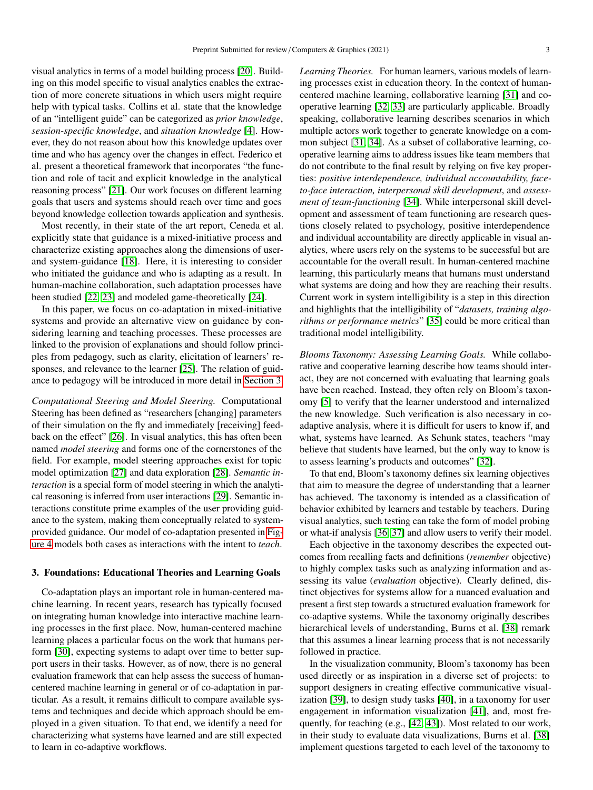visual analytics in terms of a model building process [\[20\]](#page-12-19). Building on this model specific to visual analytics enables the extraction of more concrete situations in which users might require help with typical tasks. Collins et al. state that the knowledge of an "intelligent guide" can be categorized as *prior knowledge*, *session-specific knowledge*, and *situation knowledge* [\[4\]](#page-12-3). However, they do not reason about how this knowledge updates over time and who has agency over the changes in effect. Federico et al. present a theoretical framework that incorporates "the function and role of tacit and explicit knowledge in the analytical reasoning process" [\[21\]](#page-12-20). Our work focuses on different learning goals that users and systems should reach over time and goes beyond knowledge collection towards application and synthesis.

Most recently, in their state of the art report, Ceneda et al. explicitly state that guidance is a mixed-initiative process and characterize existing approaches along the dimensions of userand system-guidance [\[18\]](#page-12-17). Here, it is interesting to consider who initiated the guidance and who is adapting as a result. In human-machine collaboration, such adaptation processes have been studied [\[22,](#page-12-21) [23\]](#page-12-22) and modeled game-theoretically [\[24\]](#page-12-23).

In this paper, we focus on co-adaptation in mixed-initiative systems and provide an alternative view on guidance by considering learning and teaching processes. These processes are linked to the provision of explanations and should follow principles from pedagogy, such as clarity, elicitation of learners' responses, and relevance to the learner [\[25\]](#page-12-24). The relation of guidance to pedagogy will be introduced in more detail in [Section 3.](#page-2-0)

*Computational Steering and Model Steering.* Computational Steering has been defined as "researchers [changing] parameters of their simulation on the fly and immediately [receiving] feedback on the effect" [\[26\]](#page-12-25). In visual analytics, this has often been named *model steering* and forms one of the cornerstones of the field. For example, model steering approaches exist for topic model optimization [\[27\]](#page-12-26) and data exploration [\[28\]](#page-12-27). *Semantic interaction* is a special form of model steering in which the analytical reasoning is inferred from user interactions [\[29\]](#page-12-28). Semantic interactions constitute prime examples of the user providing guidance to the system, making them conceptually related to systemprovided guidance. Our model of co-adaptation presented in [Fig](#page-7-1)[ure 4](#page-7-1) models both cases as interactions with the intent to *teach*.

#### <span id="page-2-0"></span>3. Foundations: Educational Theories and Learning Goals

Co-adaptation plays an important role in human-centered machine learning. In recent years, research has typically focused on integrating human knowledge into interactive machine learning processes in the first place. Now, human-centered machine learning places a particular focus on the work that humans perform [\[30\]](#page-12-29), expecting systems to adapt over time to better support users in their tasks. However, as of now, there is no general evaluation framework that can help assess the success of humancentered machine learning in general or of co-adaptation in particular. As a result, it remains difficult to compare available systems and techniques and decide which approach should be employed in a given situation. To that end, we identify a need for characterizing what systems have learned and are still expected to learn in co-adaptive workflows.

*Learning Theories.* For human learners, various models of learning processes exist in education theory. In the context of humancentered machine learning, collaborative learning [\[31\]](#page-12-30) and cooperative learning [\[32,](#page-12-31) [33\]](#page-12-32) are particularly applicable. Broadly speaking, collaborative learning describes scenarios in which multiple actors work together to generate knowledge on a common subject [\[31,](#page-12-30) [34\]](#page-12-33). As a subset of collaborative learning, cooperative learning aims to address issues like team members that do not contribute to the final result by relying on five key properties: *positive interdependence, individual accountability, faceto-face interaction, interpersonal skill development*, and *assessment of team-functioning* [\[34\]](#page-12-33). While interpersonal skill development and assessment of team functioning are research questions closely related to psychology, positive interdependence and individual accountability are directly applicable in visual analytics, where users rely on the systems to be successful but are accountable for the overall result. In human-centered machine learning, this particularly means that humans must understand what systems are doing and how they are reaching their results. Current work in system intelligibility is a step in this direction and highlights that the intelligibility of "*datasets, training algorithms or performance metrics*" [\[35\]](#page-12-34) could be more critical than traditional model intelligibility.

*Blooms Taxonomy: Assessing Learning Goals.* While collaborative and cooperative learning describe how teams should interact, they are not concerned with evaluating that learning goals have been reached. Instead, they often rely on Bloom's taxonomy [\[5\]](#page-12-4) to verify that the learner understood and internalized the new knowledge. Such verification is also necessary in coadaptive analysis, where it is difficult for users to know if, and what, systems have learned. As Schunk states, teachers "may believe that students have learned, but the only way to know is to assess learning's products and outcomes" [\[32\]](#page-12-31).

To that end, Bloom's taxonomy defines six learning objectives that aim to measure the degree of understanding that a learner has achieved. The taxonomy is intended as a classification of behavior exhibited by learners and testable by teachers. During visual analytics, such testing can take the form of model probing or what-if analysis [\[36,](#page-12-35) [37\]](#page-12-36) and allow users to verify their model.

Each objective in the taxonomy describes the expected outcomes from recalling facts and definitions (*remember* objective) to highly complex tasks such as analyzing information and assessing its value (*evaluation* objective). Clearly defined, distinct objectives for systems allow for a nuanced evaluation and present a first step towards a structured evaluation framework for co-adaptive systems. While the taxonomy originally describes hierarchical levels of understanding, Burns et al. [\[38\]](#page-12-37) remark that this assumes a linear learning process that is not necessarily followed in practice.

In the visualization community, Bloom's taxonomy has been used directly or as inspiration in a diverse set of projects: to support designers in creating effective communicative visualization [\[39\]](#page-12-38), to design study tasks [\[40\]](#page-12-39), in a taxonomy for user engagement in information visualization [\[41\]](#page-12-40), and, most frequently, for teaching (e.g., [\[42,](#page-13-0) [43\]](#page-13-1)). Most related to our work, in their study to evaluate data visualizations, Burns et al. [\[38\]](#page-12-37) implement questions targeted to each level of the taxonomy to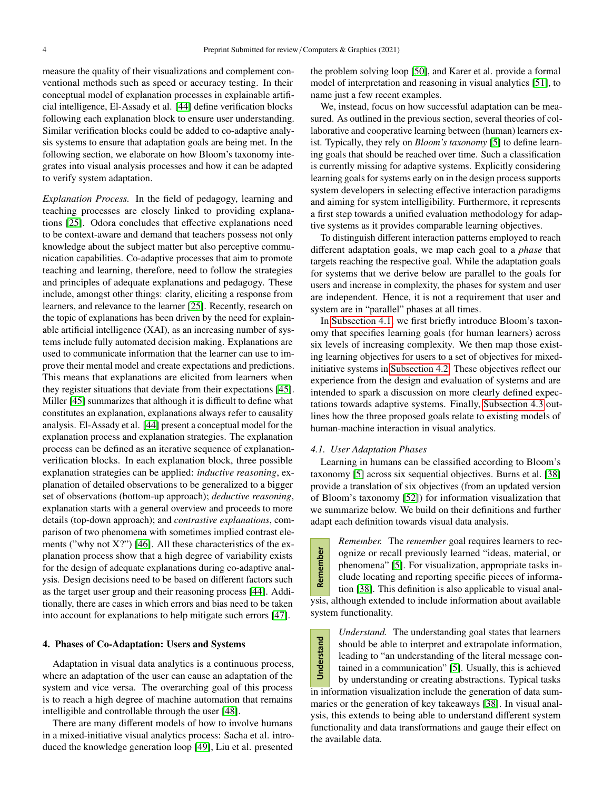measure the quality of their visualizations and complement conventional methods such as speed or accuracy testing. In their conceptual model of explanation processes in explainable artificial intelligence, El-Assady et al. [\[44\]](#page-13-2) define verification blocks following each explanation block to ensure user understanding. Similar verification blocks could be added to co-adaptive analysis systems to ensure that adaptation goals are being met. In the following section, we elaborate on how Bloom's taxonomy integrates into visual analysis processes and how it can be adapted to verify system adaptation.

*Explanation Process.* In the field of pedagogy, learning and teaching processes are closely linked to providing explanations [\[25\]](#page-12-24). Odora concludes that effective explanations need to be context-aware and demand that teachers possess not only knowledge about the subject matter but also perceptive communication capabilities. Co-adaptive processes that aim to promote teaching and learning, therefore, need to follow the strategies and principles of adequate explanations and pedagogy. These include, amongst other things: clarity, eliciting a response from learners, and relevance to the learner [\[25\]](#page-12-24). Recently, research on the topic of explanations has been driven by the need for explainable artificial intelligence (XAI), as an increasing number of systems include fully automated decision making. Explanations are used to communicate information that the learner can use to improve their mental model and create expectations and predictions. This means that explanations are elicited from learners when they register situations that deviate from their expectations [\[45\]](#page-13-3). Miller [\[45\]](#page-13-3) summarizes that although it is difficult to define what constitutes an explanation, explanations always refer to causality analysis. El-Assady et al. [\[44\]](#page-13-2) present a conceptual model for the explanation process and explanation strategies. The explanation process can be defined as an iterative sequence of explanationverification blocks. In each explanation block, three possible explanation strategies can be applied: *inductive reasoning*, explanation of detailed observations to be generalized to a bigger set of observations (bottom-up approach); *deductive reasoning*, explanation starts with a general overview and proceeds to more details (top-down approach); and *contrastive explanations*, comparison of two phenomena with sometimes implied contrast elements ("why not X?") [\[46\]](#page-13-4). All these characteristics of the explanation process show that a high degree of variability exists for the design of adequate explanations during co-adaptive analysis. Design decisions need to be based on different factors such as the target user group and their reasoning process [\[44\]](#page-13-2). Additionally, there are cases in which errors and bias need to be taken into account for explanations to help mitigate such errors [\[47\]](#page-13-5).

#### <span id="page-3-0"></span>4. Phases of Co-Adaptation: Users and Systems

Adaptation in visual data analytics is a continuous process, where an adaptation of the user can cause an adaptation of the system and vice versa. The overarching goal of this process is to reach a high degree of machine automation that remains intelligible and controllable through the user [\[48\]](#page-13-6).

There are many different models of how to involve humans in a mixed-initiative visual analytics process: Sacha et al. introduced the knowledge generation loop [\[49\]](#page-13-7), Liu et al. presented

the problem solving loop [\[50\]](#page-13-8), and Karer et al. provide a formal model of interpretation and reasoning in visual analytics [\[51\]](#page-13-9), to name just a few recent examples.

We, instead, focus on how successful adaptation can be measured. As outlined in the previous section, several theories of collaborative and cooperative learning between (human) learners exist. Typically, they rely on *Bloom's taxonomy* [\[5\]](#page-12-4) to define learning goals that should be reached over time. Such a classification is currently missing for adaptive systems. Explicitly considering learning goals for systems early on in the design process supports system developers in selecting effective interaction paradigms and aiming for system intelligibility. Furthermore, it represents a first step towards a unified evaluation methodology for adaptive systems as it provides comparable learning objectives.

To distinguish different interaction patterns employed to reach different adaptation goals, we map each goal to a *phase* that targets reaching the respective goal. While the adaptation goals for systems that we derive below are parallel to the goals for users and increase in complexity, the phases for system and user are independent. Hence, it is not a requirement that user and system are in "parallel" phases at all times.

In [Subsection 4.1,](#page-3-1) we first briefly introduce Bloom's taxonomy that specifies learning goals (for human learners) across six levels of increasing complexity. We then map those existing learning objectives for users to a set of objectives for mixedinitiative systems in [Subsection 4.2.](#page-4-0) These objectives reflect our experience from the design and evaluation of systems and are intended to spark a discussion on more clearly defined expectations towards adaptive systems. Finally, [Subsection 4.3](#page-5-0) outlines how the three proposed goals relate to existing models of human-machine interaction in visual analytics.

#### <span id="page-3-1"></span>*4.1. User Adaptation Phases*

Learning in humans can be classified according to Bloom's taxonomy [\[5\]](#page-12-4) across six sequential objectives. Burns et al. [\[38\]](#page-12-37) provide a translation of six objectives (from an updated version of Bloom's taxonomy [\[52\]](#page-13-10)) for information visualization that we summarize below. We build on their definitions and further adapt each definition towards visual data analysis.

*Remember.* The *remember* goal requires learners to rec-Remember ognize or recall previously learned "ideas, material, or phenomena" [\[5\]](#page-12-4). For visualization, appropriate tasks include locating and reporting specific pieces of information [\[38\]](#page-12-37). This definition is also applicable to visual analysis, although extended to include information about available system functionality.

*Understand.* The understanding goal states that learners Understand should be able to interpret and extrapolate information, leading to "an understanding of the literal message contained in a communication" [\[5\]](#page-12-4). Usually, this is achieved by understanding or creating abstractions. Typical tasks in information visualization include the generation of data summaries or the generation of key takeaways [\[38\]](#page-12-37). In visual analysis, this extends to being able to understand different system functionality and data transformations and gauge their effect on the available data.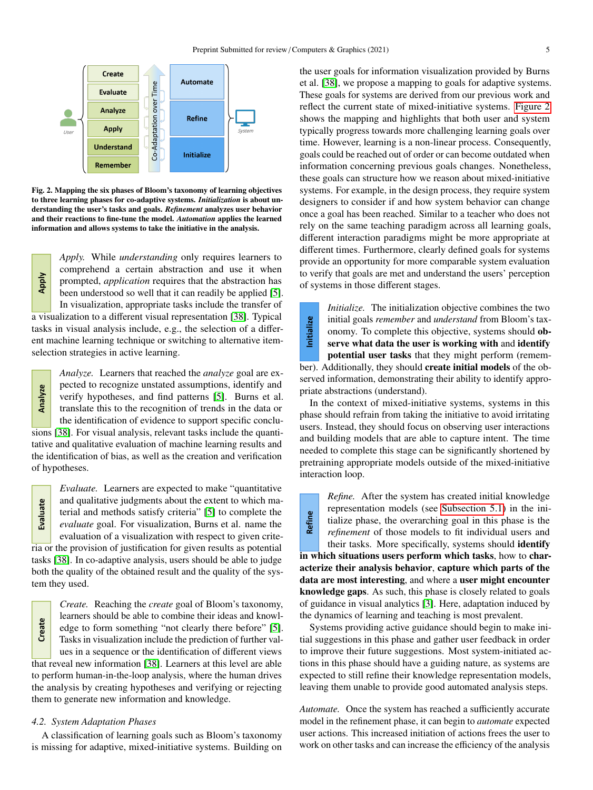

<span id="page-4-1"></span>Fig. 2. Mapping the six phases of Bloom's taxonomy of learning objectives to three learning phases for co-adaptive systems. *Initialization* is about understanding the user's tasks and goals. *Refinement* analyzes user behavior and their reactions to fine-tune the model. *Automation* applies the learned information and allows systems to take the initiative in the analysis.

*Apply.* While *understanding* only requires learners to comprehend a certain abstraction and use it when prompted, *application* requires that the abstraction has been understood so well that it can readily be applied [\[5\]](#page-12-4). In visualization, appropriate tasks include the transfer of

a visualization to a different visual representation [\[38\]](#page-12-37). Typical tasks in visual analysis include, e.g., the selection of a different machine learning technique or switching to alternative itemselection strategies in active learning.

*Analyze.* Learners that reached the *analyze* goal are expected to recognize unstated assumptions, identify and **Analyze** verify hypotheses, and find patterns [\[5\]](#page-12-4). Burns et al. translate this to the recognition of trends in the data or the identification of evidence to support specific conclusions [\[38\]](#page-12-37). For visual analysis, relevant tasks include the quantitative and qualitative evaluation of machine learning results and the identification of bias, as well as the creation and verification of hypotheses.

Evaluate

Apply

*Evaluate.* Learners are expected to make "quantitative and qualitative judgments about the extent to which material and methods satisfy criteria" [\[5\]](#page-12-4) to complete the *evaluate* goal. For visualization, Burns et al. name the evaluation of a visualization with respect to given criteria or the provision of justification for given results as potential

tasks [\[38\]](#page-12-37). In co-adaptive analysis, users should be able to judge both the quality of the obtained result and the quality of the system they used.

*Create.* Reaching the *create* goal of Bloom's taxonomy, learners should be able to combine their ideas and knowl-Create edge to form something "not clearly there before" [\[5\]](#page-12-4). Tasks in visualization include the prediction of further values in a sequence or the identification of different views that reveal new information [\[38\]](#page-12-37). Learners at this level are able to perform human-in-the-loop analysis, where the human drives the analysis by creating hypotheses and verifying or rejecting them to generate new information and knowledge.

# <span id="page-4-0"></span>*4.2. System Adaptation Phases*

A classification of learning goals such as Bloom's taxonomy is missing for adaptive, mixed-initiative systems. Building on

the user goals for information visualization provided by Burns et al. [\[38\]](#page-12-37), we propose a mapping to goals for adaptive systems. These goals for systems are derived from our previous work and reflect the current state of mixed-initiative systems. [Figure 2](#page-4-1) shows the mapping and highlights that both user and system typically progress towards more challenging learning goals over time. However, learning is a non-linear process. Consequently, goals could be reached out of order or can become outdated when information concerning previous goals changes. Nonetheless, these goals can structure how we reason about mixed-initiative systems. For example, in the design process, they require system designers to consider if and how system behavior can change once a goal has been reached. Similar to a teacher who does not rely on the same teaching paradigm across all learning goals, different interaction paradigms might be more appropriate at different times. Furthermore, clearly defined goals for systems provide an opportunity for more comparable system evaluation to verify that goals are met and understand the users' perception of systems in those different stages.

*Initialize.* The initialization objective combines the two nitialize initial goals *remember* and *understand* from Bloom's taxonomy. To complete this objective, systems should observe what data the user is working with and identify potential user tasks that they might perform (remember). Additionally, they should create initial models of the observed information, demonstrating their ability to identify appropriate abstractions (understand).

In the context of mixed-initiative systems, systems in this phase should refrain from taking the initiative to avoid irritating users. Instead, they should focus on observing user interactions and building models that are able to capture intent. The time needed to complete this stage can be significantly shortened by pretraining appropriate models outside of the mixed-initiative interaction loop.

**Refine** 

*Refine.* After the system has created initial knowledge representation models (see [Subsection 5.1\)](#page-6-1) in the initialize phase, the overarching goal in this phase is the *refinement* of those models to fit individual users and their tasks. More specifically, systems should identify

in which situations users perform which tasks, how to characterize their analysis behavior, capture which parts of the data are most interesting, and where a user might encounter knowledge gaps. As such, this phase is closely related to goals of guidance in visual analytics [\[3\]](#page-12-2). Here, adaptation induced by the dynamics of learning and teaching is most prevalent.

Systems providing active guidance should begin to make initial suggestions in this phase and gather user feedback in order to improve their future suggestions. Most system-initiated actions in this phase should have a guiding nature, as systems are expected to still refine their knowledge representation models, leaving them unable to provide good automated analysis steps.

*Automate.* Once the system has reached a sufficiently accurate model in the refinement phase, it can begin to *automate* expected user actions. This increased initiation of actions frees the user to work on other tasks and can increase the efficiency of the analysis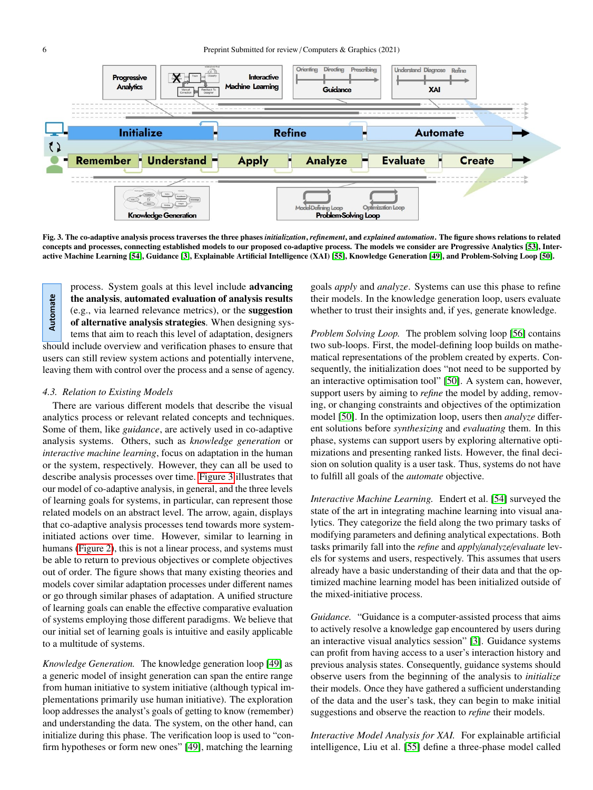

<span id="page-5-1"></span>Fig. 3. The co-adaptive analysis process traverses the three phases *initialization*, *refinement*, and *explained automation*. The figure shows relations to related concepts and processes, connecting established models to our proposed co-adaptive process. The models we consider are Progressive Analytics [\[53\]](#page-13-11), Interactive Machine Learning [\[54\]](#page-13-12), Guidance [\[3\]](#page-12-2), Explainable Artificial Intelligence (XAI) [\[55\]](#page-13-13), Knowledge Generation [\[49\]](#page-13-7), and Problem-Solving Loop [\[50\]](#page-13-8).

process. System goals at this level include advancing Automate the analysis, automated evaluation of analysis results (e.g., via learned relevance metrics), or the suggestion of alternative analysis strategies. When designing systems that aim to reach this level of adaptation, designers should include overview and verification phases to ensure that users can still review system actions and potentially intervene, leaving them with control over the process and a sense of agency.

#### <span id="page-5-0"></span>*4.3. Relation to Existing Models*

There are various different models that describe the visual analytics process or relevant related concepts and techniques. Some of them, like *guidance*, are actively used in co-adaptive analysis systems. Others, such as *knowledge generation* or *interactive machine learning*, focus on adaptation in the human or the system, respectively. However, they can all be used to describe analysis processes over time. [Figure 3](#page-5-1) illustrates that our model of co-adaptive analysis, in general, and the three levels of learning goals for systems, in particular, can represent those related models on an abstract level. The arrow, again, displays that co-adaptive analysis processes tend towards more systeminitiated actions over time. However, similar to learning in humans [\(Figure 2\)](#page-4-1), this is not a linear process, and systems must be able to return to previous objectives or complete objectives out of order. The figure shows that many existing theories and models cover similar adaptation processes under different names or go through similar phases of adaptation. A unified structure of learning goals can enable the effective comparative evaluation of systems employing those different paradigms. We believe that our initial set of learning goals is intuitive and easily applicable to a multitude of systems.

*Knowledge Generation.* The knowledge generation loop [\[49\]](#page-13-7) as a generic model of insight generation can span the entire range from human initiative to system initiative (although typical implementations primarily use human initiative). The exploration loop addresses the analyst's goals of getting to know (remember) and understanding the data. The system, on the other hand, can initialize during this phase. The verification loop is used to "confirm hypotheses or form new ones" [\[49\]](#page-13-7), matching the learning goals *apply* and *analyze*. Systems can use this phase to refine their models. In the knowledge generation loop, users evaluate whether to trust their insights and, if yes, generate knowledge.

*Problem Solving Loop.* The problem solving loop [\[56\]](#page-13-14) contains two sub-loops. First, the model-defining loop builds on mathematical representations of the problem created by experts. Consequently, the initialization does "not need to be supported by an interactive optimisation tool" [\[50\]](#page-13-8). A system can, however, support users by aiming to *refine* the model by adding, removing, or changing constraints and objectives of the optimization model [\[50\]](#page-13-8). In the optimization loop, users then *analyze* different solutions before *synthesizing* and *evaluating* them. In this phase, systems can support users by exploring alternative optimizations and presenting ranked lists. However, the final decision on solution quality is a user task. Thus, systems do not have to fulfill all goals of the *automate* objective.

*Interactive Machine Learning.* Endert et al. [\[54\]](#page-13-12) surveyed the state of the art in integrating machine learning into visual analytics. They categorize the field along the two primary tasks of modifying parameters and defining analytical expectations. Both tasks primarily fall into the *refine* and *apply*/*analyze*/*evaluate* levels for systems and users, respectively. This assumes that users already have a basic understanding of their data and that the optimized machine learning model has been initialized outside of the mixed-initiative process.

*Guidance.* "Guidance is a computer-assisted process that aims to actively resolve a knowledge gap encountered by users during an interactive visual analytics session" [\[3\]](#page-12-2). Guidance systems can profit from having access to a user's interaction history and previous analysis states. Consequently, guidance systems should observe users from the beginning of the analysis to *initialize* their models. Once they have gathered a sufficient understanding of the data and the user's task, they can begin to make initial suggestions and observe the reaction to *refine* their models.

*Interactive Model Analysis for XAI.* For explainable artificial intelligence, Liu et al. [\[55\]](#page-13-13) define a three-phase model called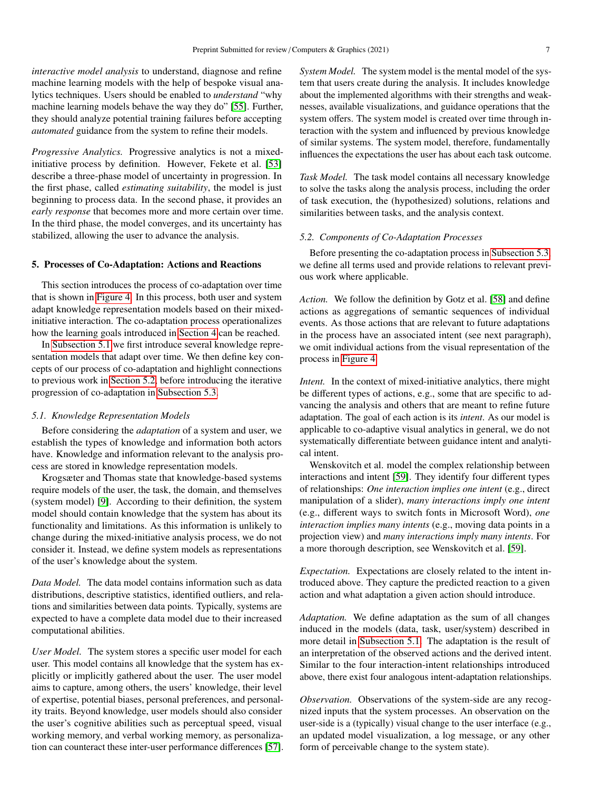*interactive model analysis* to understand, diagnose and refine machine learning models with the help of bespoke visual analytics techniques. Users should be enabled to *understand* "why machine learning models behave the way they do" [\[55\]](#page-13-13). Further, they should analyze potential training failures before accepting *automated* guidance from the system to refine their models.

*Progressive Analytics.* Progressive analytics is not a mixedinitiative process by definition. However, Fekete et al. [\[53\]](#page-13-11) describe a three-phase model of uncertainty in progression. In the first phase, called *estimating suitability*, the model is just beginning to process data. In the second phase, it provides an *early response* that becomes more and more certain over time. In the third phase, the model converges, and its uncertainty has stabilized, allowing the user to advance the analysis.

#### <span id="page-6-0"></span>5. Processes of Co-Adaptation: Actions and Reactions

This section introduces the process of co-adaptation over time that is shown in [Figure 4.](#page-7-1) In this process, both user and system adapt knowledge representation models based on their mixedinitiative interaction. The co-adaptation process operationalizes how the learning goals introduced in [Section 4](#page-3-0) can be reached.

In [Subsection 5.1](#page-6-1) we first introduce several knowledge representation models that adapt over time. We then define key concepts of our process of co-adaptation and highlight connections to previous work in [Section 5.2,](#page-6-2) before introducing the iterative progression of co-adaptation in [Subsection 5.3.](#page-7-2)

#### <span id="page-6-1"></span>*5.1. Knowledge Representation Models*

Before considering the *adaptation* of a system and user, we establish the types of knowledge and information both actors have. Knowledge and information relevant to the analysis process are stored in knowledge representation models.

Krogsæter and Thomas state that knowledge-based systems require models of the user, the task, the domain, and themselves (system model) [\[9\]](#page-12-8). According to their definition, the system model should contain knowledge that the system has about its functionality and limitations. As this information is unlikely to change during the mixed-initiative analysis process, we do not consider it. Instead, we define system models as representations of the user's knowledge about the system.

*Data Model.* The data model contains information such as data distributions, descriptive statistics, identified outliers, and relations and similarities between data points. Typically, systems are expected to have a complete data model due to their increased computational abilities.

*User Model.* The system stores a specific user model for each user. This model contains all knowledge that the system has explicitly or implicitly gathered about the user. The user model aims to capture, among others, the users' knowledge, their level of expertise, potential biases, personal preferences, and personality traits. Beyond knowledge, user models should also consider the user's cognitive abilities such as perceptual speed, visual working memory, and verbal working memory, as personalization can counteract these inter-user performance differences [\[57\]](#page-13-15). *System Model.* The system model is the mental model of the system that users create during the analysis. It includes knowledge about the implemented algorithms with their strengths and weaknesses, available visualizations, and guidance operations that the system offers. The system model is created over time through interaction with the system and influenced by previous knowledge of similar systems. The system model, therefore, fundamentally influences the expectations the user has about each task outcome.

*Task Model.* The task model contains all necessary knowledge to solve the tasks along the analysis process, including the order of task execution, the (hypothesized) solutions, relations and similarities between tasks, and the analysis context.

# *5.2. Components of Co-Adaptation Processes*

Before presenting the co-adaptation process in [Subsection 5.3,](#page-7-2) we define all terms used and provide relations to relevant previous work where applicable.

*Action.* We follow the definition by Gotz et al. [\[58\]](#page-13-16) and define actions as aggregations of semantic sequences of individual events. As those actions that are relevant to future adaptations in the process have an associated intent (see next paragraph), we omit individual actions from the visual representation of the process in [Figure 4.](#page-7-1)

<span id="page-6-2"></span>*Intent.* In the context of mixed-initiative analytics, there might be different types of actions, e.g., some that are specific to advancing the analysis and others that are meant to refine future adaptation. The goal of each action is its *intent*. As our model is applicable to co-adaptive visual analytics in general, we do not systematically differentiate between guidance intent and analytical intent.

Wenskovitch et al. model the complex relationship between interactions and intent [\[59\]](#page-13-17). They identify four different types of relationships: *One interaction implies one intent* (e.g., direct manipulation of a slider), *many interactions imply one intent* (e.g., different ways to switch fonts in Microsoft Word), *one interaction implies many intents* (e.g., moving data points in a projection view) and *many interactions imply many intents*. For a more thorough description, see Wenskovitch et al. [\[59\]](#page-13-17).

*Expectation.* Expectations are closely related to the intent introduced above. They capture the predicted reaction to a given action and what adaptation a given action should introduce.

*Adaptation.* We define adaptation as the sum of all changes induced in the models (data, task, user/system) described in more detail in [Subsection 5.1.](#page-6-1) The adaptation is the result of an interpretation of the observed actions and the derived intent. Similar to the four interaction-intent relationships introduced above, there exist four analogous intent-adaptation relationships.

*Observation.* Observations of the system-side are any recognized inputs that the system processes. An observation on the user-side is a (typically) visual change to the user interface (e.g., an updated model visualization, a log message, or any other form of perceivable change to the system state).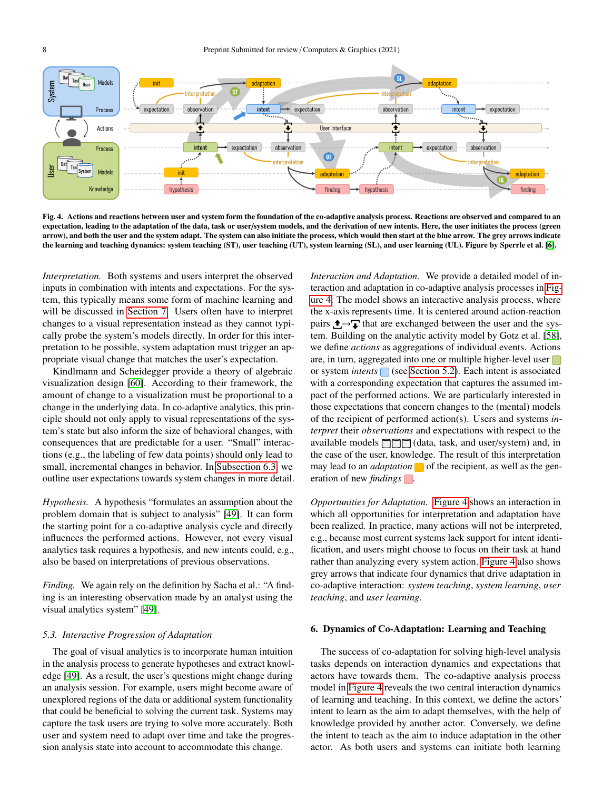

<span id="page-7-1"></span>Fig. 4. Actions and reactions between user and system form the foundation of the co-adaptive analysis process. Reactions are observed and compared to an expectation, leading to the adaptation of the data, task or user/system models, and the derivation of new intents. Here, the user initiates the process (green arrow), and both the user and the system adapt. The system can also initiate the process, which would then start at the blue arrow. The grey arrows indicate the learning and teaching dynamics: system teaching (ST), user teaching (UT), system learning (SL), and user learning (UL). Figure by Sperrle et al. [\[6\]](#page-12-5).

*Interpretation.* Both systems and users interpret the observed inputs in combination with intents and expectations. For the system, this typically means some form of machine learning and will be discussed in [Section 7.](#page-9-0) Users often have to interpret changes to a visual representation instead as they cannot typically probe the system's models directly. In order for this interpretation to be possible, system adaptation must trigger an appropriate visual change that matches the user's expectation.

Kindlmann and Scheidegger provide a theory of algebraic visualization design [\[60\]](#page-13-18). According to their framework, the amount of change to a visualization must be proportional to a change in the underlying data. In co-adaptive analytics, this principle should not only apply to visual representations of the system's state but also inform the size of behavioral changes, with consequences that are predictable for a user. "Small" interactions (e.g., the labeling of few data points) should only lead to small, incremental changes in behavior. In [Subsection 6.3,](#page-8-0) we outline user expectations towards system changes in more detail.

*Hypothesis.* A hypothesis "formulates an assumption about the problem domain that is subject to analysis" [\[49\]](#page-13-7). It can form the starting point for a co-adaptive analysis cycle and directly influences the performed actions. However, not every visual analytics task requires a hypothesis, and new intents could, e.g., also be based on interpretations of previous observations.

*Finding.* We again rely on the definition by Sacha et al.: "A finding is an interesting observation made by an analyst using the visual analytics system" [\[49\]](#page-13-7).

#### <span id="page-7-2"></span>*5.3. Interactive Progression of Adaptation*

The goal of visual analytics is to incorporate human intuition in the analysis process to generate hypotheses and extract knowledge [\[49\]](#page-13-7). As a result, the user's questions might change during an analysis session. For example, users might become aware of unexplored regions of the data or additional system functionality that could be beneficial to solving the current task. Systems may capture the task users are trying to solve more accurately. Both user and system need to adapt over time and take the progression analysis state into account to accommodate this change.

*Interaction and Adaptation.* We provide a detailed model of interaction and adaptation in co-adaptive analysis processes in [Fig](#page-7-1)[ure 4.](#page-7-1) The model shows an interactive analysis process, where the x-axis represents time. It is centered around action-reaction pairs  $\uparrow \rightarrow \uparrow$  that are exchanged between the user and the system. Building on the analytic activity model by Gotz et al. [\[58\]](#page-13-16), we define *actions* as aggregations of individual events. Actions are, in turn, aggregated into one or multiple higher-level user or system *intents* (see [Section 5.2\)](#page-6-2). Each intent is associated with a corresponding expectation that captures the assumed impact of the performed actions. We are particularly interested in those expectations that concern changes to the (mental) models of the recipient of performed action(s). Users and systems *interpret* their *observations* and expectations with respect to the available models  $\Box$  (data, task, and user/system) and, in the case of the user, knowledge. The result of this interpretation may lead to an *adaptation*  $\Box$  of the recipient, as well as the generation of new *findings* .

*Opportunities for Adaptation.* [Figure 4](#page-7-1) shows an interaction in which all opportunities for interpretation and adaptation have been realized. In practice, many actions will not be interpreted, e.g., because most current systems lack support for intent identification, and users might choose to focus on their task at hand rather than analyzing every system action. [Figure 4](#page-7-1) also shows grey arrows that indicate four dynamics that drive adaptation in co-adaptive interaction: *system teaching*, *system learning*, *user teaching*, and *user learning*.

#### <span id="page-7-0"></span>6. Dynamics of Co-Adaptation: Learning and Teaching

The success of co-adaptation for solving high-level analysis tasks depends on interaction dynamics and expectations that actors have towards them. The co-adaptive analysis process model in [Figure 4](#page-7-1) reveals the two central interaction dynamics of learning and teaching. In this context, we define the actors' intent to learn as the aim to adapt themselves, with the help of knowledge provided by another actor. Conversely, we define the intent to teach as the aim to induce adaptation in the other actor. As both users and systems can initiate both learning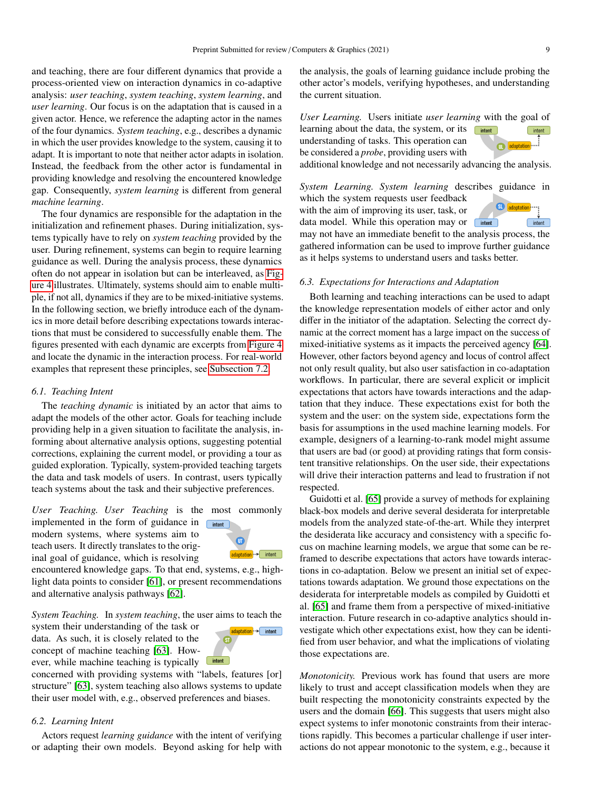and teaching, there are four different dynamics that provide a process-oriented view on interaction dynamics in co-adaptive analysis: *user teaching*, *system teaching*, *system learning*, and *user learning*. Our focus is on the adaptation that is caused in a given actor. Hence, we reference the adapting actor in the names of the four dynamics. *System teaching*, e.g., describes a dynamic in which the user provides knowledge to the system, causing it to adapt. It is important to note that neither actor adapts in isolation. Instead, the feedback from the other actor is fundamental in providing knowledge and resolving the encountered knowledge gap. Consequently, *system learning* is different from general *machine learning*.

The four dynamics are responsible for the adaptation in the initialization and refinement phases. During initialization, systems typically have to rely on *system teaching* provided by the user. During refinement, systems can begin to require learning guidance as well. During the analysis process, these dynamics often do not appear in isolation but can be interleaved, as [Fig](#page-7-1)[ure 4](#page-7-1) illustrates. Ultimately, systems should aim to enable multiple, if not all, dynamics if they are to be mixed-initiative systems. In the following section, we briefly introduce each of the dynamics in more detail before describing expectations towards interactions that must be considered to successfully enable them. The figures presented with each dynamic are excerpts from [Figure 4](#page-7-1) and locate the dynamic in the interaction process. For real-world examples that represent these principles, see [Subsection 7.2.](#page-10-0)

#### *6.1. Teaching Intent*

The *teaching dynamic* is initiated by an actor that aims to adapt the models of the other actor. Goals for teaching include providing help in a given situation to facilitate the analysis, informing about alternative analysis options, suggesting potential corrections, explaining the current model, or providing a tour as guided exploration. Typically, system-provided teaching targets the data and task models of users. In contrast, users typically teach systems about the task and their subjective preferences.

*User Teaching. User Teaching* is the most commonly

implemented in the form of guidance in modern systems, where systems aim to teach users. It directly translates to the original goal of guidance, which is resolving



encountered knowledge gaps. To that end, systems, e.g., highlight data points to consider [\[61\]](#page-13-19), or present recommendations and alternative analysis pathways [\[62\]](#page-13-20).

*System Teaching.* In *system teaching*, the user aims to teach the

system their understanding of the task or data. As such, it is closely related to the concept of machine teaching [\[63\]](#page-13-21). However, while machine teaching is typically

ptation · → intent  $intent$ 

concerned with providing systems with "labels, features [or] structure" [\[63\]](#page-13-21), system teaching also allows systems to update their user model with, e.g., observed preferences and biases.

#### *6.2. Learning Intent*

Actors request *learning guidance* with the intent of verifying or adapting their own models. Beyond asking for help with the analysis, the goals of learning guidance include probing the other actor's models, verifying hypotheses, and understanding the current situation.

*User Learning.* Users initiate *user learning* with the goal of learning about the data, the system, or its  $intent$ 

understanding of tasks. This operation can be considered a *probe*, providing users with

additional knowledge and not necessarily advancing the analysis.

*System Learning. System learning* describes guidance in which the system requests user feedback

with the aim of improving its user, task, or data model. While this operation may or without



may not have an immediate benefit to the analysis process, the gathered information can be used to improve further guidance as it helps systems to understand users and tasks better.

### <span id="page-8-0"></span>*6.3. Expectations for Interactions and Adaptation*

Both learning and teaching interactions can be used to adapt the knowledge representation models of either actor and only differ in the initiator of the adaptation. Selecting the correct dynamic at the correct moment has a large impact on the success of mixed-initiative systems as it impacts the perceived agency [\[64\]](#page-13-22). However, other factors beyond agency and locus of control affect not only result quality, but also user satisfaction in co-adaptation workflows. In particular, there are several explicit or implicit expectations that actors have towards interactions and the adaptation that they induce. These expectations exist for both the system and the user: on the system side, expectations form the basis for assumptions in the used machine learning models. For example, designers of a learning-to-rank model might assume that users are bad (or good) at providing ratings that form consistent transitive relationships. On the user side, their expectations will drive their interaction patterns and lead to frustration if not respected.

Guidotti et al. [\[65\]](#page-13-23) provide a survey of methods for explaining black-box models and derive several desiderata for interpretable models from the analyzed state-of-the-art. While they interpret the desiderata like accuracy and consistency with a specific focus on machine learning models, we argue that some can be reframed to describe expectations that actors have towards interactions in co-adaptation. Below we present an initial set of expectations towards adaptation. We ground those expectations on the desiderata for interpretable models as compiled by Guidotti et al. [\[65\]](#page-13-23) and frame them from a perspective of mixed-initiative interaction. Future research in co-adaptive analytics should investigate which other expectations exist, how they can be identified from user behavior, and what the implications of violating those expectations are.

*Monotonicity.* Previous work has found that users are more likely to trust and accept classification models when they are built respecting the monotonicity constraints expected by the users and the domain [\[66\]](#page-13-24). This suggests that users might also expect systems to infer monotonic constraints from their interactions rapidly. This becomes a particular challenge if user interactions do not appear monotonic to the system, e.g., because it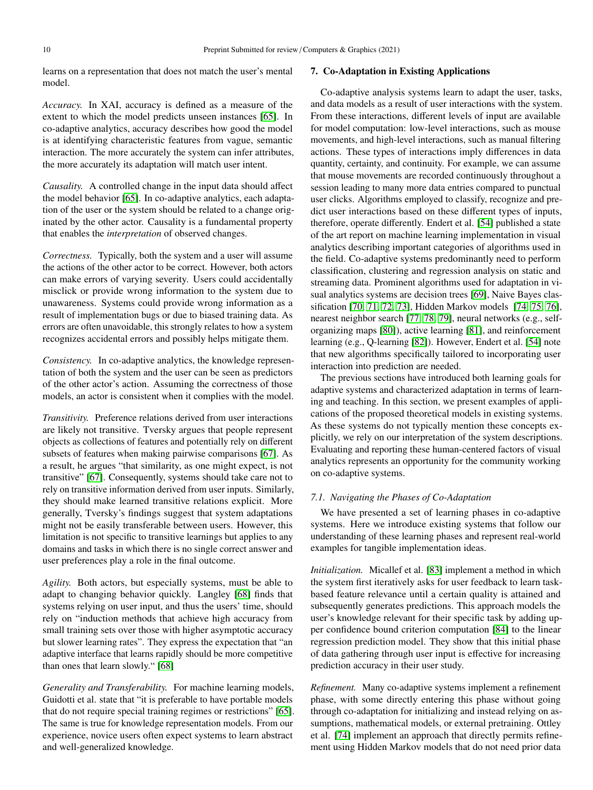learns on a representation that does not match the user's mental model.

*Accuracy.* In XAI, accuracy is defined as a measure of the extent to which the model predicts unseen instances [\[65\]](#page-13-23). In co-adaptive analytics, accuracy describes how good the model is at identifying characteristic features from vague, semantic interaction. The more accurately the system can infer attributes, the more accurately its adaptation will match user intent.

*Causality.* A controlled change in the input data should affect the model behavior [\[65\]](#page-13-23). In co-adaptive analytics, each adaptation of the user or the system should be related to a change originated by the other actor. Causality is a fundamental property that enables the *interpretation* of observed changes.

*Correctness.* Typically, both the system and a user will assume the actions of the other actor to be correct. However, both actors can make errors of varying severity. Users could accidentally misclick or provide wrong information to the system due to unawareness. Systems could provide wrong information as a result of implementation bugs or due to biased training data. As errors are often unavoidable, this strongly relates to how a system recognizes accidental errors and possibly helps mitigate them.

*Consistency.* In co-adaptive analytics, the knowledge representation of both the system and the user can be seen as predictors of the other actor's action. Assuming the correctness of those models, an actor is consistent when it complies with the model.

*Transitivity.* Preference relations derived from user interactions are likely not transitive. Tversky argues that people represent objects as collections of features and potentially rely on different subsets of features when making pairwise comparisons [\[67\]](#page-13-25). As a result, he argues "that similarity, as one might expect, is not transitive" [\[67\]](#page-13-25). Consequently, systems should take care not to rely on transitive information derived from user inputs. Similarly, they should make learned transitive relations explicit. More generally, Tversky's findings suggest that system adaptations might not be easily transferable between users. However, this limitation is not specific to transitive learnings but applies to any domains and tasks in which there is no single correct answer and user preferences play a role in the final outcome.

*Agility.* Both actors, but especially systems, must be able to adapt to changing behavior quickly. Langley [\[68\]](#page-13-26) finds that systems relying on user input, and thus the users' time, should rely on "induction methods that achieve high accuracy from small training sets over those with higher asymptotic accuracy but slower learning rates". They express the expectation that "an adaptive interface that learns rapidly should be more competitive than ones that learn slowly." [\[68\]](#page-13-26)

*Generality and Transferability.* For machine learning models, Guidotti et al. state that "it is preferable to have portable models that do not require special training regimes or restrictions" [\[65\]](#page-13-23). The same is true for knowledge representation models. From our experience, novice users often expect systems to learn abstract and well-generalized knowledge.

# <span id="page-9-0"></span>7. Co-Adaptation in Existing Applications

Co-adaptive analysis systems learn to adapt the user, tasks, and data models as a result of user interactions with the system. From these interactions, different levels of input are available for model computation: low-level interactions, such as mouse movements, and high-level interactions, such as manual filtering actions. These types of interactions imply differences in data quantity, certainty, and continuity. For example, we can assume that mouse movements are recorded continuously throughout a session leading to many more data entries compared to punctual user clicks. Algorithms employed to classify, recognize and predict user interactions based on these different types of inputs, therefore, operate differently. Endert et al. [\[54\]](#page-13-12) published a state of the art report on machine learning implementation in visual analytics describing important categories of algorithms used in the field. Co-adaptive systems predominantly need to perform classification, clustering and regression analysis on static and streaming data. Prominent algorithms used for adaptation in visual analytics systems are decision trees [\[69\]](#page-13-27), Naive Bayes classification [\[70,](#page-13-28) [71,](#page-13-29) [72,](#page-13-30) [73\]](#page-13-31), Hidden Markov models [\[74,](#page-13-32) [75,](#page-13-33) [76\]](#page-13-34), nearest neighbor search [\[77,](#page-13-35) [78,](#page-13-36) [79\]](#page-13-37), neural networks (e.g., selforganizing maps [\[80\]](#page-13-38)), active learning [\[81\]](#page-13-39), and reinforcement learning (e.g., Q-learning [\[82\]](#page-13-40)). However, Endert et al. [\[54\]](#page-13-12) note that new algorithms specifically tailored to incorporating user interaction into prediction are needed.

The previous sections have introduced both learning goals for adaptive systems and characterized adaptation in terms of learning and teaching. In this section, we present examples of applications of the proposed theoretical models in existing systems. As these systems do not typically mention these concepts explicitly, we rely on our interpretation of the system descriptions. Evaluating and reporting these human-centered factors of visual analytics represents an opportunity for the community working on co-adaptive systems.

# *7.1. Navigating the Phases of Co-Adaptation*

We have presented a set of learning phases in co-adaptive systems. Here we introduce existing systems that follow our understanding of these learning phases and represent real-world examples for tangible implementation ideas.

*Initialization.* Micallef et al. [\[83\]](#page-13-41) implement a method in which the system first iteratively asks for user feedback to learn taskbased feature relevance until a certain quality is attained and subsequently generates predictions. This approach models the user's knowledge relevant for their specific task by adding upper confidence bound criterion computation [\[84\]](#page-14-0) to the linear regression prediction model. They show that this initial phase of data gathering through user input is effective for increasing prediction accuracy in their user study.

*Refinement.* Many co-adaptive systems implement a refinement phase, with some directly entering this phase without going through co-adaptation for initializing and instead relying on assumptions, mathematical models, or external pretraining. Ottley et al. [\[74\]](#page-13-32) implement an approach that directly permits refinement using Hidden Markov models that do not need prior data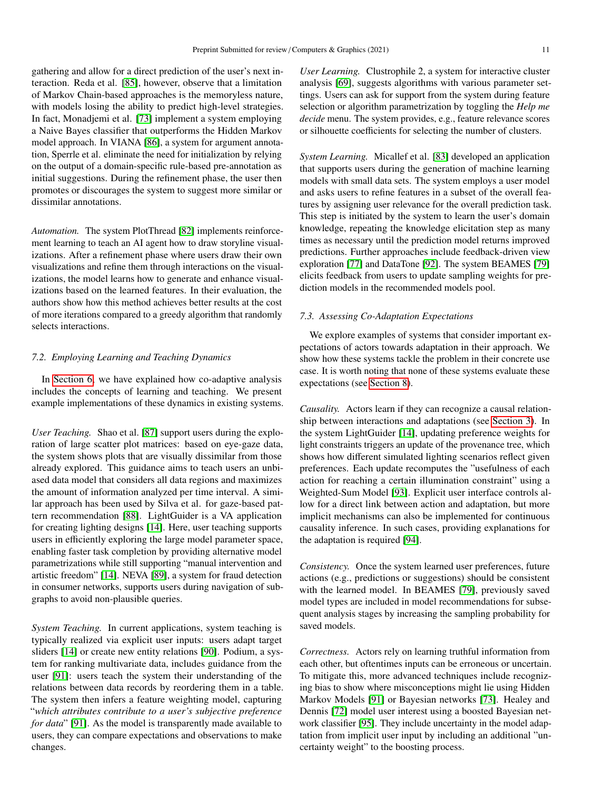gathering and allow for a direct prediction of the user's next interaction. Reda et al. [\[85\]](#page-14-1), however, observe that a limitation of Markov Chain-based approaches is the memoryless nature, with models losing the ability to predict high-level strategies. In fact, Monadjemi et al. [\[73\]](#page-13-31) implement a system employing a Naive Bayes classifier that outperforms the Hidden Markov model approach. In VIANA [\[86\]](#page-14-2), a system for argument annotation, Sperrle et al. eliminate the need for initialization by relying on the output of a domain-specific rule-based pre-annotation as initial suggestions. During the refinement phase, the user then promotes or discourages the system to suggest more similar or dissimilar annotations.

*Automation.* The system PlotThread [\[82\]](#page-13-40) implements reinforcement learning to teach an AI agent how to draw storyline visualizations. After a refinement phase where users draw their own visualizations and refine them through interactions on the visualizations, the model learns how to generate and enhance visualizations based on the learned features. In their evaluation, the authors show how this method achieves better results at the cost of more iterations compared to a greedy algorithm that randomly selects interactions.

#### <span id="page-10-0"></span>*7.2. Employing Learning and Teaching Dynamics*

In [Section 6,](#page-7-0) we have explained how co-adaptive analysis includes the concepts of learning and teaching. We present example implementations of these dynamics in existing systems.

*User Teaching.* Shao et al. [\[87\]](#page-14-3) support users during the exploration of large scatter plot matrices: based on eye-gaze data, the system shows plots that are visually dissimilar from those already explored. This guidance aims to teach users an unbiased data model that considers all data regions and maximizes the amount of information analyzed per time interval. A similar approach has been used by Silva et al. for gaze-based pattern recommendation [\[88\]](#page-14-4). LightGuider is a VA application for creating lighting designs [\[14\]](#page-12-13). Here, user teaching supports users in efficiently exploring the large model parameter space, enabling faster task completion by providing alternative model parametrizations while still supporting "manual intervention and artistic freedom" [\[14\]](#page-12-13). NEVA [\[89\]](#page-14-5), a system for fraud detection in consumer networks, supports users during navigation of subgraphs to avoid non-plausible queries.

*System Teaching.* In current applications, system teaching is typically realized via explicit user inputs: users adapt target sliders [\[14\]](#page-12-13) or create new entity relations [\[90\]](#page-14-6). Podium, a system for ranking multivariate data, includes guidance from the user [\[91\]](#page-14-7): users teach the system their understanding of the relations between data records by reordering them in a table. The system then infers a feature weighting model, capturing "*which attributes contribute to a user's subjective preference for data*" [\[91\]](#page-14-7). As the model is transparently made available to users, they can compare expectations and observations to make changes.

*User Learning.* Clustrophile 2, a system for interactive cluster analysis [\[69\]](#page-13-27), suggests algorithms with various parameter settings. Users can ask for support from the system during feature selection or algorithm parametrization by toggling the *Help me decide* menu. The system provides, e.g., feature relevance scores or silhouette coefficients for selecting the number of clusters.

*System Learning.* Micallef et al. [\[83\]](#page-13-41) developed an application that supports users during the generation of machine learning models with small data sets. The system employs a user model and asks users to refine features in a subset of the overall features by assigning user relevance for the overall prediction task. This step is initiated by the system to learn the user's domain knowledge, repeating the knowledge elicitation step as many times as necessary until the prediction model returns improved predictions. Further approaches include feedback-driven view exploration [\[77\]](#page-13-35) and DataTone [\[92\]](#page-14-8). The system BEAMES [\[79\]](#page-13-37) elicits feedback from users to update sampling weights for prediction models in the recommended models pool.

# *7.3. Assessing Co-Adaptation Expectations*

We explore examples of systems that consider important expectations of actors towards adaptation in their approach. We show how these systems tackle the problem in their concrete use case. It is worth noting that none of these systems evaluate these expectations (see [Section 8\)](#page-11-0).

*Causality.* Actors learn if they can recognize a causal relationship between interactions and adaptations (see [Section 3\)](#page-2-0). In the system LightGuider [\[14\]](#page-12-13), updating preference weights for light constraints triggers an update of the provenance tree, which shows how different simulated lighting scenarios reflect given preferences. Each update recomputes the "usefulness of each action for reaching a certain illumination constraint" using a Weighted-Sum Model [\[93\]](#page-14-9). Explicit user interface controls allow for a direct link between action and adaptation, but more implicit mechanisms can also be implemented for continuous causality inference. In such cases, providing explanations for the adaptation is required [\[94\]](#page-14-10).

*Consistency.* Once the system learned user preferences, future actions (e.g., predictions or suggestions) should be consistent with the learned model. In BEAMES [\[79\]](#page-13-37), previously saved model types are included in model recommendations for subsequent analysis stages by increasing the sampling probability for saved models.

*Correctness.* Actors rely on learning truthful information from each other, but oftentimes inputs can be erroneous or uncertain. To mitigate this, more advanced techniques include recognizing bias to show where misconceptions might lie using Hidden Markov Models [\[91\]](#page-14-7) or Bayesian networks [\[73\]](#page-13-31). Healey and Dennis [\[72\]](#page-13-30) model user interest using a boosted Bayesian network classifier [\[95\]](#page-14-11). They include uncertainty in the model adaptation from implicit user input by including an additional "uncertainty weight" to the boosting process.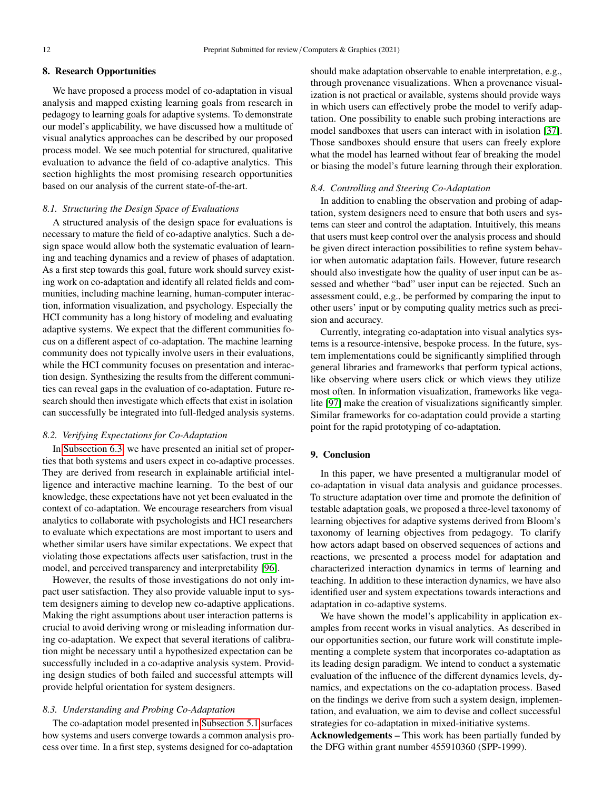## <span id="page-11-0"></span>8. Research Opportunities

We have proposed a process model of co-adaptation in visual analysis and mapped existing learning goals from research in pedagogy to learning goals for adaptive systems. To demonstrate our model's applicability, we have discussed how a multitude of visual analytics approaches can be described by our proposed process model. We see much potential for structured, qualitative evaluation to advance the field of co-adaptive analytics. This section highlights the most promising research opportunities based on our analysis of the current state-of-the-art.

# *8.1. Structuring the Design Space of Evaluations*

A structured analysis of the design space for evaluations is necessary to mature the field of co-adaptive analytics. Such a design space would allow both the systematic evaluation of learning and teaching dynamics and a review of phases of adaptation. As a first step towards this goal, future work should survey existing work on co-adaptation and identify all related fields and communities, including machine learning, human-computer interaction, information visualization, and psychology. Especially the HCI community has a long history of modeling and evaluating adaptive systems. We expect that the different communities focus on a different aspect of co-adaptation. The machine learning community does not typically involve users in their evaluations, while the HCI community focuses on presentation and interaction design. Synthesizing the results from the different communities can reveal gaps in the evaluation of co-adaptation. Future research should then investigate which effects that exist in isolation can successfully be integrated into full-fledged analysis systems.

# *8.2. Verifying Expectations for Co-Adaptation*

In [Subsection 6.3,](#page-8-0) we have presented an initial set of properties that both systems and users expect in co-adaptive processes. They are derived from research in explainable artificial intelligence and interactive machine learning. To the best of our knowledge, these expectations have not yet been evaluated in the context of co-adaptation. We encourage researchers from visual analytics to collaborate with psychologists and HCI researchers to evaluate which expectations are most important to users and whether similar users have similar expectations. We expect that violating those expectations affects user satisfaction, trust in the model, and perceived transparency and interpretability [\[96\]](#page-14-12).

However, the results of those investigations do not only impact user satisfaction. They also provide valuable input to system designers aiming to develop new co-adaptive applications. Making the right assumptions about user interaction patterns is crucial to avoid deriving wrong or misleading information during co-adaptation. We expect that several iterations of calibration might be necessary until a hypothesized expectation can be successfully included in a co-adaptive analysis system. Providing design studies of both failed and successful attempts will provide helpful orientation for system designers.

# *8.3. Understanding and Probing Co-Adaptation*

The co-adaptation model presented in [Subsection 5.1](#page-6-1) surfaces how systems and users converge towards a common analysis process over time. In a first step, systems designed for co-adaptation should make adaptation observable to enable interpretation, e.g., through provenance visualizations. When a provenance visualization is not practical or available, systems should provide ways in which users can effectively probe the model to verify adaptation. One possibility to enable such probing interactions are model sandboxes that users can interact with in isolation [\[37\]](#page-12-36). Those sandboxes should ensure that users can freely explore what the model has learned without fear of breaking the model or biasing the model's future learning through their exploration.

#### *8.4. Controlling and Steering Co-Adaptation*

In addition to enabling the observation and probing of adaptation, system designers need to ensure that both users and systems can steer and control the adaptation. Intuitively, this means that users must keep control over the analysis process and should be given direct interaction possibilities to refine system behavior when automatic adaptation fails. However, future research should also investigate how the quality of user input can be assessed and whether "bad" user input can be rejected. Such an assessment could, e.g., be performed by comparing the input to other users' input or by computing quality metrics such as precision and accuracy.

Currently, integrating co-adaptation into visual analytics systems is a resource-intensive, bespoke process. In the future, system implementations could be significantly simplified through general libraries and frameworks that perform typical actions, like observing where users click or which views they utilize most often. In information visualization, frameworks like vegalite [\[97\]](#page-14-13) make the creation of visualizations significantly simpler. Similar frameworks for co-adaptation could provide a starting point for the rapid prototyping of co-adaptation.

# 9. Conclusion

In this paper, we have presented a multigranular model of co-adaptation in visual data analysis and guidance processes. To structure adaptation over time and promote the definition of testable adaptation goals, we proposed a three-level taxonomy of learning objectives for adaptive systems derived from Bloom's taxonomy of learning objectives from pedagogy. To clarify how actors adapt based on observed sequences of actions and reactions, we presented a process model for adaptation and characterized interaction dynamics in terms of learning and teaching. In addition to these interaction dynamics, we have also identified user and system expectations towards interactions and adaptation in co-adaptive systems.

We have shown the model's applicability in application examples from recent works in visual analytics. As described in our opportunities section, our future work will constitute implementing a complete system that incorporates co-adaptation as its leading design paradigm. We intend to conduct a systematic evaluation of the influence of the different dynamics levels, dynamics, and expectations on the co-adaptation process. Based on the findings we derive from such a system design, implementation, and evaluation, we aim to devise and collect successful strategies for co-adaptation in mixed-initiative systems.

Acknowledgements – This work has been partially funded by the DFG within grant number 455910360 (SPP-1999).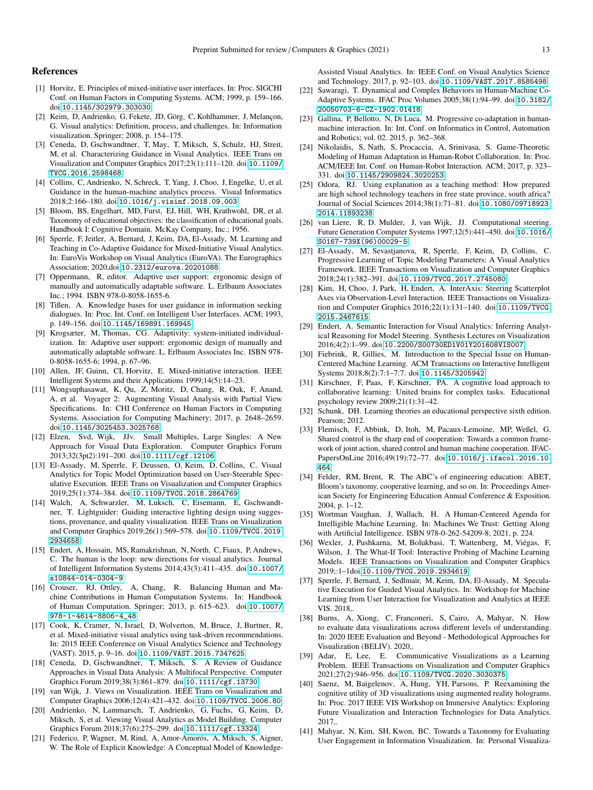# References

- <span id="page-12-0"></span>[1] Horvitz, E. Principles of mixed-initiative user interfaces. In: Proc. SIGCHI Conf. on Human Factors in Computing Systems. ACM; 1999, p. 159–166. doi:[10.1145/302979.303030](http://dx.doi.org/10.1145/302979.303030).
- <span id="page-12-1"></span>[2] Keim, D, Andrienko, G, Fekete, JD, Görg, C, Kohlhammer, J, Melançon, G. Visual analytics: Definition, process, and challenges. In: Information visualization. Springer; 2008, p. 154–175.
- <span id="page-12-2"></span>[3] Ceneda, D, Gschwandtner, T, May, T, Miksch, S, Schulz, HJ, Streit, M, et al. Characterizing Guidance in Visual Analytics. IEEE Trans on Visualization and Computer Graphics 2017;23(1):111–120. doi:[10.1109/](http://dx.doi.org/10.1109/TVCG.2016.2598468) [TVCG.2016.2598468](http://dx.doi.org/10.1109/TVCG.2016.2598468).
- <span id="page-12-3"></span>[4] Collins, C, Andrienko, N, Schreck, T, Yang, J, Choo, J, Engelke, U, et al. Guidance in the human-machine analytics process. Visual Informatics 2018;2:166–180. doi:[10.1016/j.visinf.2018.09.003](http://dx.doi.org/10.1016/j.visinf.2018.09.003).
- <span id="page-12-4"></span>[5] Bloom, BS, Engelhart, MD, Furst, EJ, Hill, WH, Krathwohl, DR, et al. Taxonomy of educational objectives: the classification of educational goals. Handbook I: Cognitive Domain. McKay Company, Inc.; 1956.
- <span id="page-12-5"></span>[6] Sperrle, F, Jeitler, A, Bernard, J, Keim, DA, El-Assady, M. Learning and Teaching in Co-Adaptive Guidance for Mixed-Initiative Visual Analytics. In: EuroVis Workshop on Visual Analytics (EuroVA). The Eurographics Association; 2020,doi:[10.2312/eurova.20201088](http://dx.doi.org/10.2312/eurova.20201088).
- <span id="page-12-6"></span>[7] Oppermann, R, editor. Adaptive user support: ergonomic design of manually and automatically adaptable software. L. Erlbaum Associates Inc.; 1994. ISBN 978-0-8058-1655-6.
- <span id="page-12-7"></span>[8] Tißen, A. Knowledge bases for user guidance in information seeking dialogues. In: Proc. Int. Conf. on Intelligent User Interfaces. ACM; 1993, p. 149–156. doi:[10.1145/169891.169945](http://dx.doi.org/10.1145/169891.169945).
- <span id="page-12-8"></span>[9] Krogsæter, M, Thomas, CG. Adaptivity: system-initiated individualization. In: Adaptive user support: ergonomic design of manually and automatically adaptable software. L. Erlbaum Associates Inc. ISBN 978- 0-8058-1655-6; 1994, p. 67–96.
- <span id="page-12-9"></span>[10] Allen, JF, Guinn, CI, Horvitz, E. Mixed-initiative interaction. IEEE Intelligent Systems and their Applications 1999;14(5):14–23.
- <span id="page-12-10"></span>[11] Wongsuphasawat, K, Qu, Z, Moritz, D, Chang, R, Ouk, F, Anand, A, et al. Voyager 2: Augmenting Visual Analysis with Partial View Specifications. In: CHI Conference on Human Factors in Computing Systems. Association for Computing Machinery; 2017, p. 2648–2659. doi:[10.1145/3025453.3025768](http://dx.doi.org/10.1145/3025453.3025768).
- <span id="page-12-11"></span>[12] Elzen, Svd, Wijk, JJv. Small Multiples, Large Singles: A New Approach for Visual Data Exploration. Computer Graphics Forum 2013;32(3pt2):191–200. doi:[10.1111/cgf.12106](http://dx.doi.org/10.1111/cgf.12106).
- <span id="page-12-12"></span>[13] El-Assady, M, Sperrle, F, Deussen, O, Keim, D, Collins, C. Visual Analytics for Topic Model Optimization based on User-Steerable Speculative Execution. IEEE Trans on Visualization and Computer Graphics 2019;25(1):374–384. doi:[10.1109/TVCG.2018.2864769](http://dx.doi.org/10.1109/TVCG.2018.2864769).
- <span id="page-12-13"></span>[14] Walch, A, Schwarzler, M, Luksch, C, Eisemann, E, Gschwandtner, T. Lightguider: Guiding interactive lighting design using suggestions, provenance, and quality visualization. IEEE Trans on Visualization and Computer Graphics 2019;26(1):569–578. doi:[10.1109/TVCG.2019.](http://dx.doi.org/10.1109/TVCG.2019.2934658) [2934658](http://dx.doi.org/10.1109/TVCG.2019.2934658).
- <span id="page-12-14"></span>[15] Endert, A, Hossain, MS, Ramakrishnan, N, North, C, Fiaux, P, Andrews, C. The human is the loop: new directions for visual analytics. Journal of Intelligent Information Systems 2014;43(3):411–435. doi:[10.1007/](http://dx.doi.org/10.1007/s10844-014-0304-9) [s10844-014-0304-9](http://dx.doi.org/10.1007/s10844-014-0304-9).
- <span id="page-12-15"></span>[16] Crouser, RJ, Ottley, A, Chang, R. Balancing Human and Machine Contributions in Human Computation Systems. In: Handbook of Human Computation. Springer; 2013, p. 615–623. doi:[10.1007/](http://dx.doi.org/10.1007/978-1-4614-8806-4_48) [978-1-4614-8806-4\\_48](http://dx.doi.org/10.1007/978-1-4614-8806-4_48).
- <span id="page-12-16"></span>[17] Cook, K, Cramer, N, Israel, D, Wolverton, M, Bruce, J, Burtner, R, et al. Mixed-initiative visual analytics using task-driven recommendations. In: 2015 IEEE Conference on Visual Analytics Science and Technology (VAST). 2015, p. 9–16. doi:[10.1109/VAST.2015.7347625](http://dx.doi.org/10.1109/VAST.2015.7347625).
- <span id="page-12-17"></span>[18] Ceneda, D, Gschwandtner, T, Miksch, S. A Review of Guidance Approaches in Visual Data Analysis: A Multifocal Perspective. Computer Graphics Forum 2019;38(3):861–879. doi:[10.1111/cgf.13730](http://dx.doi.org/10.1111/cgf.13730).
- <span id="page-12-18"></span>[19] van Wijk, J. Views on Visualization. IEEE Trans on Visualization and Computer Graphics 2006;12(4):421–432. doi:[10.1109/TVCG.2006.80](http://dx.doi.org/10.1109/TVCG.2006.80).
- <span id="page-12-19"></span>[20] Andrienko, N, Lammarsch, T, Andrienko, G, Fuchs, G, Keim, D, Miksch, S, et al. Viewing Visual Analytics as Model Building. Computer Graphics Forum 2018;37(6):275–299. doi:[10.1111/cgf.13324](http://dx.doi.org/10.1111/cgf.13324).
- <span id="page-12-20"></span>[21] Federico, P, Wagner, M, Rind, A, Amor-Amorós, A, Miksch, S, Aigner, W. The Role of Explicit Knowledge: A Conceptual Model of Knowledge-

Assisted Visual Analytics. In: IEEE Conf. on Visual Analytics Science and Technology. 2017, p. 92–103. doi:[10.1109/VAST.2017.8585498](http://dx.doi.org/10.1109/VAST.2017.8585498).

- <span id="page-12-21"></span>[22] Sawaragi, T. Dynamical and Complex Behaviors in Human-Machine Co-Adaptive Systems. IFAC Proc Volumes 2005;38(1):94–99. doi:[10.3182/](http://dx.doi.org/10.3182/20050703-6-CZ-1902.01418) [20050703-6-CZ-1902.01418](http://dx.doi.org/10.3182/20050703-6-CZ-1902.01418).
- <span id="page-12-22"></span>[23] Gallina, P, Bellotto, N, Di Luca, M. Progressive co-adaptation in humanmachine interaction. In: Int. Conf. on Informatics in Control, Automation and Robotics; vol. 02. 2015, p. 362–368.
- <span id="page-12-23"></span>[24] Nikolaidis, S, Nath, S, Procaccia, A, Srinivasa, S. Game-Theoretic Modeling of Human Adaptation in Human-Robot Collaboration. In: Proc. ACM/IEEE Int. Conf. on Human-Robot Interaction. ACM; 2017, p. 323– 331. doi:[10.1145/2909824.3020253](http://dx.doi.org/10.1145/2909824.3020253).
- <span id="page-12-24"></span>[25] Odora, RJ. Using explanation as a teaching method: How prepared are high school technology teachers in free state province, south africa? Journal of Social Sciences 2014;38(1):71–81. doi:[10.1080/09718923.](http://dx.doi.org/10.1080/09718923.2014.11893238) [2014.11893238](http://dx.doi.org/10.1080/09718923.2014.11893238).
- <span id="page-12-25"></span>[26] van Liere, R, D. Mulder, J, van Wijk, JJ. Computational steering. Future Generation Computer Systems 1997;12(5):441–450. doi:[10.1016/](http://dx.doi.org/10.1016/S0167-739X(96)00029-5) [S0167-739X\(96\)00029-5](http://dx.doi.org/10.1016/S0167-739X(96)00029-5).
- <span id="page-12-26"></span>[27] El-Assady, M, Sevastjanova, R, Sperrle, F, Keim, D, Collins, C. Progressive Learning of Topic Modeling Parameters: A Visual Analytics Framework. IEEE Transactions on Visualization and Computer Graphics 2018;24(1):382–391. doi:[10.1109/TVCG.2017.2745080](http://dx.doi.org/10.1109/TVCG.2017.2745080).
- <span id="page-12-27"></span>[28] Kim, H, Choo, J, Park, H, Endert, A. InterAxis: Steering Scatterplot Axes via Observation-Level Interaction. IEEE Transactions on Visualization and Computer Graphics 2016;22(1):131–140. doi:[10.1109/TVCG.](http://dx.doi.org/10.1109/TVCG.2015.2467615) [2015.2467615](http://dx.doi.org/10.1109/TVCG.2015.2467615).
- <span id="page-12-28"></span>[29] Endert, A. Semantic Interaction for Visual Analytics: Inferring Analytical Reasoning for Model Steering. Synthesis Lectures on Visualization 2016;4(2):1–99. doi:[10.2200/S00730ED1V01Y201608VIS007](http://dx.doi.org/10.2200/S00730ED1V01Y201608VIS007).
- <span id="page-12-29"></span>[30] Fiebrink, R, Gillies, M. Introduction to the Special Issue on Human-Centered Machine Learning. ACM Transactions on Interactive Intelligent Systems 2018;8(2):7:1–7:7. doi:[10.1145/3205942](http://dx.doi.org/10.1145/3205942).
- <span id="page-12-30"></span>[31] Kirschner, F, Paas, F, Kirschner, PA. A cognitive load approach to collaborative learning: United brains for complex tasks. Educational psychology review 2009;21(1):31–42.
- <span id="page-12-31"></span>[32] Schunk, DH. Learning theories an educational perspective sixth edition. Pearson; 2012.
- <span id="page-12-32"></span>[33] Flemisch, F, Abbink, D, Itoh, M, Pacaux-Lemoine, MP, Weßel, G. Shared control is the sharp end of cooperation: Towards a common framework of joint action, shared control and human machine cooperation. IFAC-PapersOnLine 2016;49(19):72–77. doi:[10.1016/j.ifacol.2016.10.](http://dx.doi.org/10.1016/j.ifacol.2016.10.464) [464](http://dx.doi.org/10.1016/j.ifacol.2016.10.464).
- <span id="page-12-33"></span>[34] Felder, RM, Brent, R. The ABC's of engineering education: ABET, Bloom's taxonomy, cooperative learning, and so on. In: Proceedings American Society for Engineering Education Annual Conference & Exposition. 2004, p. 1–12.
- <span id="page-12-34"></span>[35] Wortman Vaughan, J, Wallach, H. A Human-Centered Agenda for Intelligible Machine Learning. In: Machines We Trust: Getting Along with Artificial Intelligence. ISBN 978-0-262-54209-8; 2021, p. 224.
- <span id="page-12-35"></span>[36] Wexler, J, Pushkarna, M, Bolukbasi, T, Wattenberg, M, Viégas, F, Wilson, J. The What-If Tool: Interactive Probing of Machine Learning Models. IEEE Transactions on Visualization and Computer Graphics 2019;:1–1doi:[10.1109/TVCG.2019.2934619](http://dx.doi.org/10.1109/TVCG.2019.2934619).
- <span id="page-12-36"></span>[37] Sperrle, F, Bernard, J, Sedlmair, M, Keim, DA, El-Assady, M. Speculative Execution for Guided Visual Analytics. In: Workshop for Machine Learning from User Interaction for Visualization and Analytics at IEEE VIS. 2018,.
- <span id="page-12-37"></span>[38] Burns, A, Xiong, C, Franconeri, S, Cairo, A, Mahyar, N. How to evaluate data visualizations across different levels of understanding. In: 2020 IEEE Evaluation and Beyond - Methodological Approaches for Visualization (BELIV). 2020,.
- <span id="page-12-38"></span>[39] Adar, E, Lee, E. Communicative Visualizations as a Learning Problem. IEEE Transactions on Visualization and Computer Graphics 2021;27(2):946–956. doi:[10.1109/TVCG.2020.3030375](http://dx.doi.org/10.1109/TVCG.2020.3030375).
- <span id="page-12-39"></span>[40] Saenz, M, Baigelenov, A, Hung, YH, Parsons, P. Reexamining the cognitive utility of 3D visualizations using augmented reality holograms. In: Proc. 2017 IEEE VIS Workshop on Immersive Analytics: Exploring Future Visualization and Interaction Technologies for Data Analytics. 2017,.
- <span id="page-12-40"></span>[41] Mahyar, N, Kim, SH, Kwon, BC. Towards a Taxonomy for Evaluating User Engagement in Information Visualization. In: Personal Visualiza-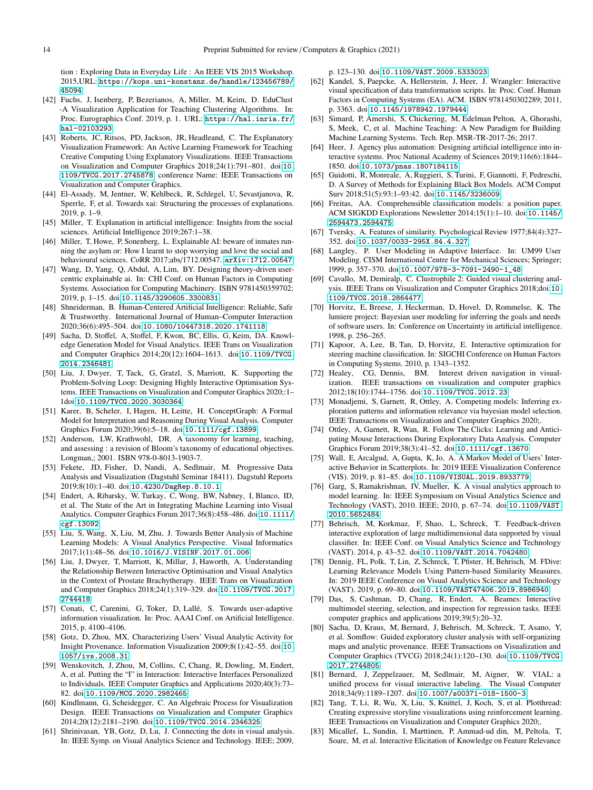tion : Exploring Data in Everyday Life : An IEEE VIS 2015 Workshop. 2015,URL: [https://kops.uni-konstanz.de/handle/123456789/](https://kops.uni-konstanz.de/handle/123456789/45094) [45094](https://kops.uni-konstanz.de/handle/123456789/45094).

- <span id="page-13-0"></span>[42] Fuchs, J, Isenberg, P, Bezerianos, A, Miller, M, Keim, D. EduClust -A Visualization Application for Teaching Clustering Algorithms. In: Proc. Eurographics Conf. 2019, p. 1. URL: [https://hal.inria.fr/](https://hal.inria.fr/hal-02103293) [hal-02103293](https://hal.inria.fr/hal-02103293).
- <span id="page-13-1"></span>[43] Roberts, JC, Ritsos, PD, Jackson, JR, Headleand, C. The Explanatory Visualization Framework: An Active Learning Framework for Teaching Creative Computing Using Explanatory Visualizations. IEEE Transactions on Visualization and Computer Graphics 2018;24(1):791–801. doi:[10.](http://dx.doi.org/10.1109/TVCG.2017.2745878) [1109/TVCG.2017.2745878](http://dx.doi.org/10.1109/TVCG.2017.2745878); conference Name: IEEE Transactions on Visualization and Computer Graphics.
- <span id="page-13-2"></span>[44] El-Assady, M, Jentner, W, Kehlbeck, R, Schlegel, U, Sevastjanova, R, Sperrle, F, et al. Towards xai: Structuring the processes of explanations. 2019, p. 1–9.
- <span id="page-13-3"></span>[45] Miller, T. Explanation in artificial intelligence: Insights from the social sciences. Artificial Intelligence 2019;267:1–38.
- <span id="page-13-4"></span>[46] Miller, T, Howe, P, Sonenberg, L. Explainable AI: beware of inmates running the asylum or: How I learnt to stop worrying and love the social and behavioural sciences. CoRR 2017;abs/1712.00547. [arXiv:1712.00547](http://arxiv.org/abs/1712.00547).
- <span id="page-13-5"></span>[47] Wang, D, Yang, Q, Abdul, A, Lim, BY. Designing theory-driven usercentric explainable ai. In: CHI Conf. on Human Factors in Computing Systems. Association for Computing Machinery. ISBN 9781450359702; 2019, p. 1–15. doi:[10.1145/3290605.3300831](http://dx.doi.org/10.1145/3290605.3300831).
- <span id="page-13-6"></span>[48] Shneiderman, B. Human-Centered Artificial Intelligence: Reliable, Safe & Trustworthy. International Journal of Human–Computer Interaction 2020;36(6):495–504. doi:[10.1080/10447318.2020.1741118](http://dx.doi.org/10.1080/10447318.2020.1741118).
- <span id="page-13-7"></span>[49] Sacha, D, Stoffel, A, Stoffel, F, Kwon, BC, Ellis, G, Keim, DA. Knowledge Generation Model for Visual Analytics. IEEE Trans on Visualization and Computer Graphics 2014;20(12):1604–1613. doi:[10.1109/TVCG.](http://dx.doi.org/10.1109/TVCG.2014.2346481) [2014.2346481](http://dx.doi.org/10.1109/TVCG.2014.2346481).
- <span id="page-13-8"></span>[50] Liu, J, Dwyer, T, Tack, G, Gratzl, S, Marriott, K. Supporting the Problem-Solving Loop: Designing Highly Interactive Optimisation Systems. IEEE Transactions on Visualization and Computer Graphics 2020;:1– 1doi:[10.1109/TVCG.2020.3030364](http://dx.doi.org/10.1109/TVCG.2020.3030364).
- <span id="page-13-9"></span>[51] Karer, B, Scheler, I, Hagen, H, Leitte, H. ConceptGraph: A Formal Model for Interpretation and Reasoning During Visual Analysis. Computer Graphics Forum 2020;39(6):5–18. doi:[10.1111/cgf.13899](http://dx.doi.org/10.1111/cgf.13899).
- <span id="page-13-10"></span>[52] Anderson, LW, Krathwohl, DR. A taxonomy for learning, teaching, and assessing : a revision of Bloom's taxonomy of educational objectives. Longman,; 2001. ISBN 978-0-8013-1903-7.
- <span id="page-13-11"></span>[53] Fekete, JD, Fisher, D, Nandi, A, Sedlmair, M. Progressive Data Analysis and Visualization (Dagstuhl Seminar 18411). Dagstuhl Reports 2019;8(10):1–40. doi:[10.4230/DagRep.8.10.1](http://dx.doi.org/10.4230/DagRep.8.10.1).
- <span id="page-13-12"></span>[54] Endert, A, Ribarsky, W, Turkay, C, Wong, BW, Nabney, I, Blanco, ID, et al. The State of the Art in Integrating Machine Learning into Visual Analytics. Computer Graphics Forum 2017;36(8):458–486. doi:[10.1111/](http://dx.doi.org/10.1111/cgf.13092) [cgf.13092](http://dx.doi.org/10.1111/cgf.13092).
- <span id="page-13-13"></span>[55] Liu, S, Wang, X, Liu, M, Zhu, J. Towards Better Analysis of Machine Learning Models: A Visual Analytics Perspective. Visual Informatics 2017;1(1):48–56. doi:[10.1016/J.VISINF.2017.01.006](http://dx.doi.org/10.1016/J.VISINF.2017.01.006).
- <span id="page-13-14"></span>[56] Liu, J, Dwyer, T, Marriott, K, Millar, J, Haworth, A. Understanding the Relationship Between Interactive Optimisation and Visual Analytics in the Context of Prostate Brachytherapy. IEEE Trans on Visualization and Computer Graphics 2018;24(1):319–329. doi:[10.1109/TVCG.2017.](http://dx.doi.org/10.1109/TVCG.2017.2744418) [2744418](http://dx.doi.org/10.1109/TVCG.2017.2744418).
- <span id="page-13-15"></span>[57] Conati, C, Carenini, G, Toker, D, Lallé, S. Towards user-adaptive information visualization. In: Proc. AAAI Conf. on Artificial Intelligence. 2015, p. 4100–4106.
- <span id="page-13-16"></span>[58] Gotz, D, Zhou, MX. Characterizing Users' Visual Analytic Activity for Insight Provenance. Information Visualization 2009;8(1):42–55. doi:[10.](http://dx.doi.org/10.1057/ivs.2008.31) [1057/ivs.2008.31](http://dx.doi.org/10.1057/ivs.2008.31).
- <span id="page-13-17"></span>[59] Wenskovitch, J, Zhou, M, Collins, C, Chang, R, Dowling, M, Endert, A, et al. Putting the "I" in Interaction: Interactive Interfaces Personalized to Individuals. IEEE Computer Graphics and Applications 2020;40(3):73– 82. doi:[10.1109/MCG.2020.2982465](http://dx.doi.org/10.1109/MCG.2020.2982465).
- <span id="page-13-18"></span>[60] Kindlmann, G, Scheidegger, C. An Algebraic Process for Visualization Design. IEEE Transactions on Visualization and Computer Graphics 2014;20(12):2181–2190. doi:[10.1109/TVCG.2014.2346325](http://dx.doi.org/10.1109/TVCG.2014.2346325).
- <span id="page-13-19"></span>[61] Shrinivasan, YB, Gotz, D, Lu, J. Connecting the dots in visual analysis. In: IEEE Symp. on Visual Analytics Science and Technology. IEEE; 2009,

p. 123–130. doi:[10.1109/VAST.2009.5333023](http://dx.doi.org/10.1109/VAST.2009.5333023).

- <span id="page-13-20"></span>[62] Kandel, S, Paepcke, A, Hellerstein, J, Heer, J. Wrangler: Interactive visual specification of data transformation scripts. In: Proc. Conf. Human Factors in Computing Systems (EA). ACM. ISBN 9781450302289; 2011, p. 3363. doi:[10.1145/1978942.1979444](http://dx.doi.org/10.1145/1978942.1979444).
- <span id="page-13-21"></span>[63] Simard, P, Amershi, S, Chickering, M, Edelman Pelton, A, Ghorashi, S, Meek, C, et al. Machine Teaching: A New Paradigm for Building Machine Learning Systems. Tech. Rep. MSR-TR-2017-26; 2017.
- <span id="page-13-22"></span>[64] Heer, J. Agency plus automation: Designing artificial intelligence into interactive systems. Proc National Academy of Sciences 2019;116(6):1844– 1850. doi:[10.1073/pnas.1807184115](http://dx.doi.org/10.1073/pnas.1807184115).
- <span id="page-13-23"></span>[65] Guidotti, R, Monreale, A, Ruggieri, S, Turini, F, Giannotti, F, Pedreschi, D. A Survey of Methods for Explaining Black Box Models. ACM Comput Surv 2018;51(5):93:1–93:42. doi:[10.1145/3236009](http://dx.doi.org/10.1145/3236009).
- <span id="page-13-24"></span>[66] Freitas, AA. Comprehensible classification models: a position paper. ACM SIGKDD Explorations Newsletter 2014;15(1):1–10. doi:[10.1145/](http://dx.doi.org/10.1145/2594473.2594475) [2594473.2594475](http://dx.doi.org/10.1145/2594473.2594475).
- <span id="page-13-25"></span>[67] Tversky, A. Features of similarity. Psychological Review 1977;84(4):327– 352. doi:[10.1037/0033-295X.84.4.327](http://dx.doi.org/10.1037/0033-295X.84.4.327).
- <span id="page-13-26"></span>[68] Langley, P. User Modeling in Adaptive Interface. In: UM99 User Modeling. CISM International Centre for Mechanical Sciences; Springer; 1999, p. 357–370. doi:[10.1007/978-3-7091-2490-1\\_48](http://dx.doi.org/10.1007/978-3-7091-2490-1_48).
- <span id="page-13-27"></span>[69] Cavallo, M, Demiralp, C. Clustrophile 2: Guided visual clustering analysis. IEEE Trans on Visualization and Computer Graphics 2018;doi:[10.](http://dx.doi.org/10.1109/TVCG.2018.2864477) [1109/TVCG.2018.2864477](http://dx.doi.org/10.1109/TVCG.2018.2864477).
- <span id="page-13-28"></span>[70] Horvitz, E, Breese, J, Heckerman, D, Hovel, D, Rommelse, K. The lumiere project: Bayesian user modeling for inferring the goals and needs of software users. In: Conference on Uncertainty in artificial intelligence. 1998, p. 256–265.
- <span id="page-13-29"></span>[71] Kapoor, A, Lee, B, Tan, D, Horvitz, E. Interactive optimization for steering machine classification. In: SIGCHI Conference on Human Factors in Computing Systems. 2010, p. 1343–1352.
- <span id="page-13-30"></span>[72] Healey, CG, Dennis, BM. Interest driven navigation in visualization. IEEE transactions on visualization and computer graphics 2012;18(10):1744–1756. doi:[10.1109/TVCG.2012.23](http://dx.doi.org/10.1109/TVCG.2012.23).
- <span id="page-13-31"></span>[73] Monadjemi, S, Garnett, R, Ottley, A. Competing models: Inferring exploration patterns and information relevance via bayesian model selection. IEEE Transactions on Visualization and Computer Graphics 2020;.
- <span id="page-13-32"></span>[74] Ottley, A, Garnett, R, Wan, R. Follow The Clicks: Learning and Anticipating Mouse Interactions During Exploratory Data Analysis. Computer Graphics Forum 2019;38(3):41–52. doi:[10.1111/cgf.13670](http://dx.doi.org/10.1111/cgf.13670).
- <span id="page-13-33"></span>[75] Wall, E, Arcalgud, A, Gupta, K, Jo, A. A Markov Model of Users' Interactive Behavior in Scatterplots. In: 2019 IEEE Visualization Conference (VIS). 2019, p. 81–85. doi:[10.1109/VISUAL.2019.8933779](http://dx.doi.org/10.1109/VISUAL.2019.8933779).
- <span id="page-13-34"></span>[76] Garg, S, Ramakrishnan, IV, Mueller, K. A visual analytics approach to model learning. In: IEEE Symposium on Visual Analytics Science and Technology (VAST), 2010. IEEE; 2010, p. 67–74. doi:[10.1109/VAST.](http://dx.doi.org/10.1109/VAST.2010.5652484) [2010.5652484](http://dx.doi.org/10.1109/VAST.2010.5652484).
- <span id="page-13-35"></span>[77] Behrisch, M, Korkmaz, F, Shao, L, Schreck, T. Feedback-driven interactive exploration of large multidimensional data supported by visual classifier. In: IEEE Conf. on Visual Analytics Science and Technology (VAST). 2014, p. 43–52. doi:[10.1109/VAST.2014.7042480](http://dx.doi.org/10.1109/VAST.2014.7042480).
- <span id="page-13-36"></span>[78] Dennig, FL, Polk, T, Lin, Z, Schreck, T, Pfister, H, Behrisch, M. FDive: Learning Relevance Models Using Pattern-based Similarity Measures. In: 2019 IEEE Conference on Visual Analytics Science and Technology (VAST). 2019, p. 69–80. doi:[10.1109/VAST47406.2019.8986940](http://dx.doi.org/10.1109/VAST47406.2019.8986940).
- <span id="page-13-37"></span>[79] Das, S, Cashman, D, Chang, R, Endert, A. Beames: Interactive multimodel steering, selection, and inspection for regression tasks. IEEE computer graphics and applications 2019;39(5):20–32.
- <span id="page-13-38"></span>[80] Sacha, D, Kraus, M, Bernard, J, Behrisch, M, Schreck, T, Asano, Y, et al. Somflow: Guided exploratory cluster analysis with self-organizing maps and analytic provenance. IEEE Transactions on Visualization and Computer Graphics (TVCG) 2018;24(1):120–130. doi:[10.1109/TVCG.](http://dx.doi.org/10.1109/TVCG.2017.2744805) [2017.2744805](http://dx.doi.org/10.1109/TVCG.2017.2744805).
- <span id="page-13-39"></span>[81] Bernard, J, Zeppelzauer, M, Sedlmair, M, Aigner, W. VIAL: a unified process for visual interactive labeling. The Visual Computer 2018;34(9):1189–1207. doi:[10.1007/s00371-018-1500-3](http://dx.doi.org/10.1007/s00371-018-1500-3).
- <span id="page-13-40"></span>[82] Tang, T, Li, R, Wu, X, Liu, S, Knittel, J, Koch, S, et al. Plotthread: Creating expressive storyline visualizations using reinforcement learning. IEEE Transactions on Visualization and Computer Graphics 2020;.
- <span id="page-13-41"></span>[83] Micallef, L, Sundin, I, Marttinen, P, Ammad-ud din, M, Peltola, T, Soare, M, et al. Interactive Elicitation of Knowledge on Feature Relevance